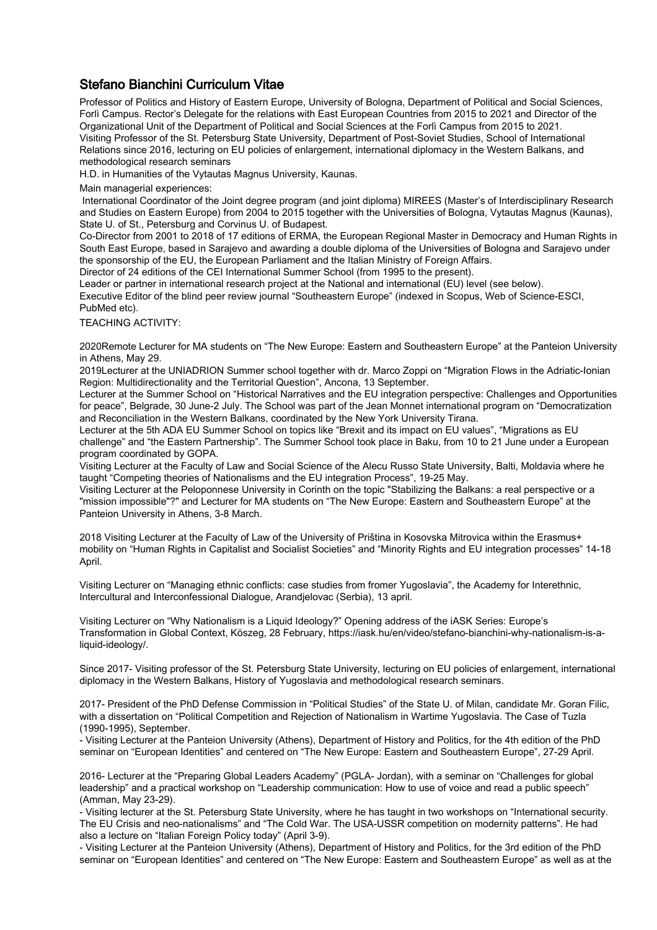## Stefano Bianchini Curriculum Vitae

Professor of Politics and History of Eastern Europe, University of Bologna, Department of Political and Social Sciences, Forlì Campus. Rector's Delegate for the relations with East European Countries from 2015 to 2021 and Director of the Organizational Unit of the Department of Political and Social Sciences at the Forlì Campus from 2015 to 2021. Visiting Professor of the St. Petersburg State University, Department of Post-Soviet Studies, School of International Relations since 2016, lecturing on EU policies of enlargement, international diplomacy in the Western Balkans, and methodological research seminars

H.D. in Humanities of the Vytautas Magnus University, Kaunas.

Main managerial experiences:

 International Coordinator of the Joint degree program (and joint diploma) MIREES (Master's of Interdisciplinary Research and Studies on Eastern Europe) from 2004 to 2015 together with the Universities of Bologna, Vytautas Magnus (Kaunas), State U. of St., Petersburg and Corvinus U. of Budapest.

Co-Director from 2001 to 2018 of 17 editions of ERMA, the European Regional Master in Democracy and Human Rights in South East Europe, based in Sarajevo and awarding a double diploma of the Universities of Bologna and Sarajevo under the sponsorship of the EU, the European Parliament and the Italian Ministry of Foreign Affairs.

Director of 24 editions of the CEI International Summer School (from 1995 to the present).

Leader or partner in international research project at the National and international (EU) level (see below). Executive Editor of the blind peer review journal "Southeastern Europe" (indexed in Scopus, Web of Science-ESCI,

PubMed etc).

TEACHING ACTIVITY:

2020Remote Lecturer for MA students on "The New Europe: Eastern and Southeastern Europe" at the Panteion University in Athens, May 29.

2019Lecturer at the UNIADRION Summer school together with dr. Marco Zoppi on "Migration Flows in the Adriatic-Ionian Region: Multidirectionality and the Territorial Question", Ancona, 13 September.

Lecturer at the Summer School on "Historical Narratives and the EU integration perspective: Challenges and Opportunities for peace", Belgrade, 30 June-2 July. The School was part of the Jean Monnet international program on "Democratization and Reconciliation in the Western Balkans, coordinated by the New York University Tirana.

Lecturer at the 5th ADA EU Summer School on topics like "Brexit and its impact on EU values", "Migrations as EU challenge" and "the Eastern Partnership". The Summer School took place in Baku, from 10 to 21 June under a European program coordinated by GOPA.

Visiting Lecturer at the Faculty of Law and Social Science of the Alecu Russo State University, Balti, Moldavia where he taught "Competing theories of Nationalisms and the EU integration Process", 19-25 May.

Visiting Lecturer at the Peloponnese University in Corinth on the topic "Stabilizing the Balkans: a real perspective or a "mission impossible"?" and Lecturer for MA students on "The New Europe: Eastern and Southeastern Europe" at the Panteion University in Athens, 3-8 March.

2018 Visiting Lecturer at the Faculty of Law of the University of Priština in Kosovska Mitrovica within the Erasmus+ mobility on "Human Rights in Capitalist and Socialist Societies" and "Minority Rights and EU integration processes" 14-18 April.

Visiting Lecturer on "Managing ethnic conflicts: case studies from fromer Yugoslavia", the Academy for Interethnic, Intercultural and Interconfessional Dialogue, Arandjelovac (Serbia), 13 april.

Visiting Lecturer on "Why Nationalism is a Liquid Ideology?" Opening address of the iASK Series: Europe's Transformation in Global Context, Köszeg, 28 February, https://iask.hu/en/video/stefano-bianchini-why-nationalism-is-aliquid-ideology/.

Since 2017- Visiting professor of the St. Petersburg State University, lecturing on EU policies of enlargement, international diplomacy in the Western Balkans, History of Yugoslavia and methodological research seminars.

2017- President of the PhD Defense Commission in "Political Studies" of the State U. of Milan, candidate Mr. Goran Filic, with a dissertation on "Political Competition and Rejection of Nationalism in Wartime Yugoslavia. The Case of Tuzla (1990-1995), September.

- Visiting Lecturer at the Panteion University (Athens), Department of History and Politics, for the 4th edition of the PhD seminar on "European Identities" and centered on "The New Europe: Eastern and Southeastern Europe", 27-29 April.

2016- Lecturer at the "Preparing Global Leaders Academy" (PGLA- Jordan), with a seminar on "Challenges for global leadership" and a practical workshop on "Leadership communication: How to use of voice and read a public speech" (Amman, May 23-29).

- Visiting lecturer at the St. Petersburg State University, where he has taught in two workshops on "International security. The EU Crisis and neo-nationalisms" and "The Cold War. The USA-USSR competition on modernity patterns". He had also a lecture on "Italian Foreign Policy today" (April 3-9).

- Visiting Lecturer at the Panteion University (Athens), Department of History and Politics, for the 3rd edition of the PhD seminar on "European Identities" and centered on "The New Europe: Eastern and Southeastern Europe" as well as at the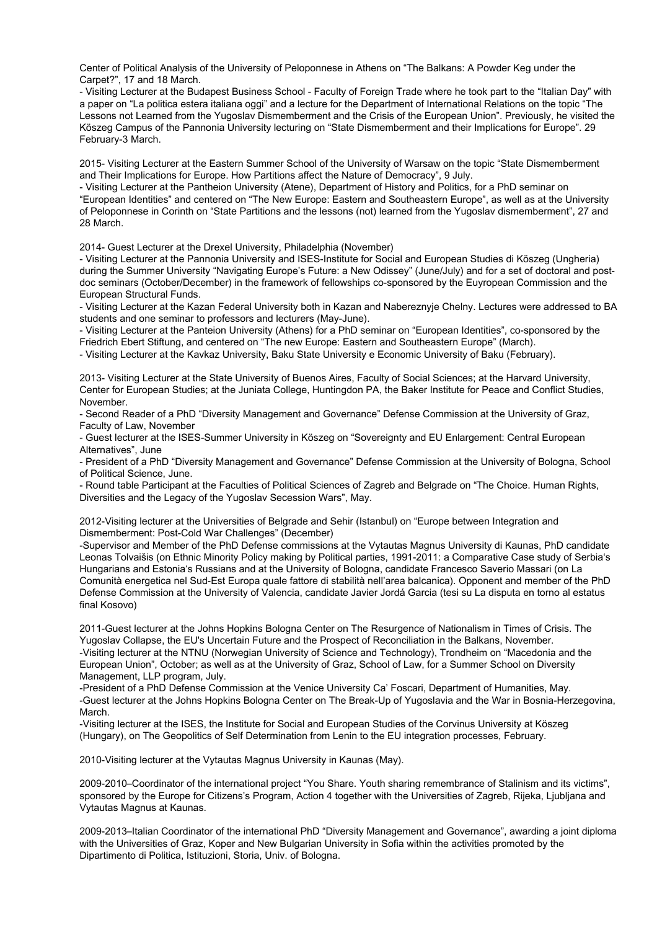Center of Political Analysis of the University of Peloponnese in Athens on "The Balkans: A Powder Keg under the Carpet?", 17 and 18 March.

- Visiting Lecturer at the Budapest Business School - Faculty of Foreign Trade where he took part to the "Italian Day" with a paper on "La politica estera italiana oggi" and a lecture for the Department of International Relations on the topic "The Lessons not Learned from the Yugoslav Dismemberment and the Crisis of the European Union". Previously, he visited the Köszeg Campus of the Pannonia University lecturing on "State Dismemberment and their Implications for Europe". 29 February-3 March.

2015- Visiting Lecturer at the Eastern Summer School of the University of Warsaw on the topic "State Dismemberment and Their Implications for Europe. How Partitions affect the Nature of Democracy", 9 July.

- Visiting Lecturer at the Pantheion University (Atene), Department of History and Politics, for a PhD seminar on "European Identities" and centered on "The New Europe: Eastern and Southeastern Europe", as well as at the University of Peloponnese in Corinth on "State Partitions and the lessons (not) learned from the Yugoslav dismemberment", 27 and 28 March.

2014- Guest Lecturer at the Drexel University, Philadelphia (November)

- Visiting Lecturer at the Pannonia University and ISES-Institute for Social and European Studies di Köszeg (Ungheria) during the Summer University "Navigating Europe's Future: a New Odissey" (June/July) and for a set of doctoral and postdoc seminars (October/December) in the framework of fellowships co-sponsored by the Euyropean Commission and the European Structural Funds.

- Visiting Lecturer at the Kazan Federal University both in Kazan and Nabereznyje Chelny. Lectures were addressed to BA students and one seminar to professors and lecturers (May-June).

- Visiting Lecturer at the Panteion University (Athens) for a PhD seminar on "European Identities", co-sponsored by the Friedrich Ebert Stiftung, and centered on "The new Europe: Eastern and Southeastern Europe" (March).

- Visiting Lecturer at the Kavkaz University, Baku State University e Economic University of Baku (February).

2013- Visiting Lecturer at the State University of Buenos Aires, Faculty of Social Sciences; at the Harvard University, Center for European Studies; at the Juniata College, Huntingdon PA, the Baker Institute for Peace and Conflict Studies, November.

- Second Reader of a PhD "Diversity Management and Governance" Defense Commission at the University of Graz, Faculty of Law, November

- Guest lecturer at the ISES-Summer University in Köszeg on "Sovereignty and EU Enlargement: Central European Alternatives", June

- President of a PhD "Diversity Management and Governance" Defense Commission at the University of Bologna, School of Political Science, June.

- Round table Participant at the Faculties of Political Sciences of Zagreb and Belgrade on "The Choice. Human Rights, Diversities and the Legacy of the Yugoslav Secession Wars", May.

2012-Visiting lecturer at the Universities of Belgrade and Sehir (Istanbul) on "Europe between Integration and Dismemberment: Post-Cold War Challenges" (December)

-Supervisor and Member of the PhD Defense commissions at the Vytautas Magnus University di Kaunas, PhD candidate Leonas Tolvaišis (on Ethnic Minority Policy making by Political parties, 1991-2011: a Comparative Case study of Serbia's Hungarians and Estonia's Russians and at the University of Bologna, candidate Francesco Saverio Massari (on La Comunità energetica nel Sud-Est Europa quale fattore di stabilità nell'area balcanica). Opponent and member of the PhD Defense Commission at the University of Valencia, candidate Javier Jordá Garcia (tesi su La disputa en torno al estatus final Kosovo)

2011-Guest lecturer at the Johns Hopkins Bologna Center on The Resurgence of Nationalism in Times of Crisis. The Yugoslav Collapse, the EU's Uncertain Future and the Prospect of Reconciliation in the Balkans, November. -Visiting lecturer at the NTNU (Norwegian University of Science and Technology), Trondheim on "Macedonia and the European Union", October; as well as at the University of Graz, School of Law, for a Summer School on Diversity Management, LLP program, July.

-President of a PhD Defense Commission at the Venice University Ca' Foscari, Department of Humanities, May. -Guest lecturer at the Johns Hopkins Bologna Center on The Break-Up of Yugoslavia and the War in Bosnia-Herzegovina, March.

-Visiting lecturer at the ISES, the Institute for Social and European Studies of the Corvinus University at Köszeg (Hungary), on The Geopolitics of Self Determination from Lenin to the EU integration processes, February.

2010-Visiting lecturer at the Vytautas Magnus University in Kaunas (May).

2009-2010–Coordinator of the international project "You Share. Youth sharing remembrance of Stalinism and its victims", sponsored by the Europe for Citizens's Program, Action 4 together with the Universities of Zagreb, Rijeka, Ljubljana and Vytautas Magnus at Kaunas.

2009-2013–Italian Coordinator of the international PhD "Diversity Management and Governance", awarding a joint diploma with the Universities of Graz, Koper and New Bulgarian University in Sofia within the activities promoted by the Dipartimento di Politica, Istituzioni, Storia, Univ. of Bologna.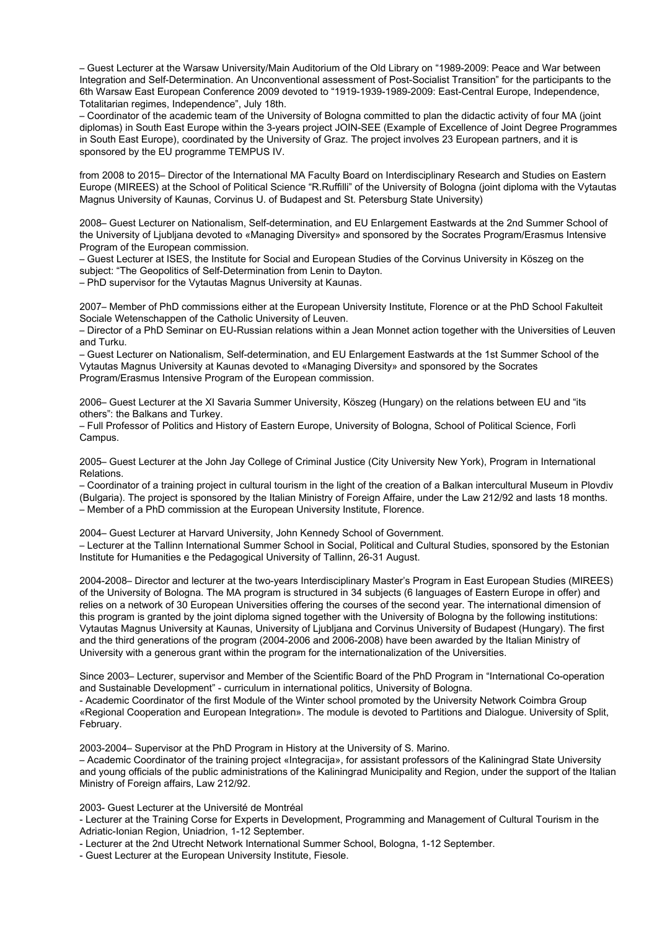– Guest Lecturer at the Warsaw University/Main Auditorium of the Old Library on "1989-2009: Peace and War between Integration and Self-Determination. An Unconventional assessment of Post-Socialist Transition" for the participants to the 6th Warsaw East European Conference 2009 devoted to "1919-1939-1989-2009: East-Central Europe, Independence, Totalitarian regimes, Independence", July 18th.

– Coordinator of the academic team of the University of Bologna committed to plan the didactic activity of four MA (joint diplomas) in South East Europe within the 3-years project JOIN-SEE (Example of Excellence of Joint Degree Programmes in South East Europe), coordinated by the University of Graz. The project involves 23 European partners, and it is sponsored by the EU programme TEMPUS IV.

from 2008 to 2015– Director of the International MA Faculty Board on Interdisciplinary Research and Studies on Eastern Europe (MIREES) at the School of Political Science "R.Ruffilli" of the University of Bologna (joint diploma with the Vytautas Magnus University of Kaunas, Corvinus U. of Budapest and St. Petersburg State University)

2008– Guest Lecturer on Nationalism, Self-determination, and EU Enlargement Eastwards at the 2nd Summer School of the University of Ljubljana devoted to «Managing Diversity» and sponsored by the Socrates Program/Erasmus Intensive Program of the European commission.

– Guest Lecturer at ISES, the Institute for Social and European Studies of the Corvinus University in Köszeg on the subject: "The Geopolitics of Self-Determination from Lenin to Dayton.

– PhD supervisor for the Vytautas Magnus University at Kaunas.

2007– Member of PhD commissions either at the European University Institute, Florence or at the PhD School Fakulteit Sociale Wetenschappen of the Catholic University of Leuven.

– Director of a PhD Seminar on EU-Russian relations within a Jean Monnet action together with the Universities of Leuven and Turku.

– Guest Lecturer on Nationalism, Self-determination, and EU Enlargement Eastwards at the 1st Summer School of the Vytautas Magnus University at Kaunas devoted to «Managing Diversity» and sponsored by the Socrates Program/Erasmus Intensive Program of the European commission.

2006– Guest Lecturer at the XI Savaria Summer University, Köszeg (Hungary) on the relations between EU and "its others": the Balkans and Turkey.

– Full Professor of Politics and History of Eastern Europe, University of Bologna, School of Political Science, Forlì Campus.

2005– Guest Lecturer at the John Jay College of Criminal Justice (City University New York), Program in International Relations.

– Coordinator of a training project in cultural tourism in the light of the creation of a Balkan intercultural Museum in Plovdiv (Bulgaria). The project is sponsored by the Italian Ministry of Foreign Affaire, under the Law 212/92 and lasts 18 months. – Member of a PhD commission at the European University Institute, Florence.

2004– Guest Lecturer at Harvard University, John Kennedy School of Government.

– Lecturer at the Tallinn International Summer School in Social, Political and Cultural Studies, sponsored by the Estonian Institute for Humanities e the Pedagogical University of Tallinn, 26-31 August.

2004-2008– Director and lecturer at the two-years Interdisciplinary Master's Program in East European Studies (MIREES) of the University of Bologna. The MA program is structured in 34 subjects (6 languages of Eastern Europe in offer) and relies on a network of 30 European Universities offering the courses of the second year. The international dimension of this program is granted by the joint diploma signed together with the University of Bologna by the following institutions: Vytautas Magnus University at Kaunas, University of Ljubljana and Corvinus University of Budapest (Hungary). The first and the third generations of the program (2004-2006 and 2006-2008) have been awarded by the Italian Ministry of University with a generous grant within the program for the internationalization of the Universities.

Since 2003– Lecturer, supervisor and Member of the Scientific Board of the PhD Program in "International Co-operation and Sustainable Development" - curriculum in international politics, University of Bologna.

- Academic Coordinator of the first Module of the Winter school promoted by the University Network Coimbra Group «Regional Cooperation and European Integration». The module is devoted to Partitions and Dialogue. University of Split, February.

2003-2004– Supervisor at the PhD Program in History at the University of S. Marino.

– Academic Coordinator of the training project «Integracija», for assistant professors of the Kaliningrad State University and young officials of the public administrations of the Kaliningrad Municipality and Region, under the support of the Italian Ministry of Foreign affairs, Law 212/92.

2003- Guest Lecturer at the Université de Montréal

- Lecturer at the Training Corse for Experts in Development, Programming and Management of Cultural Tourism in the Adriatic-Ionian Region, Uniadrion, 1-12 September.

- Lecturer at the 2nd Utrecht Network International Summer School, Bologna, 1-12 September.

- Guest Lecturer at the European University Institute, Fiesole.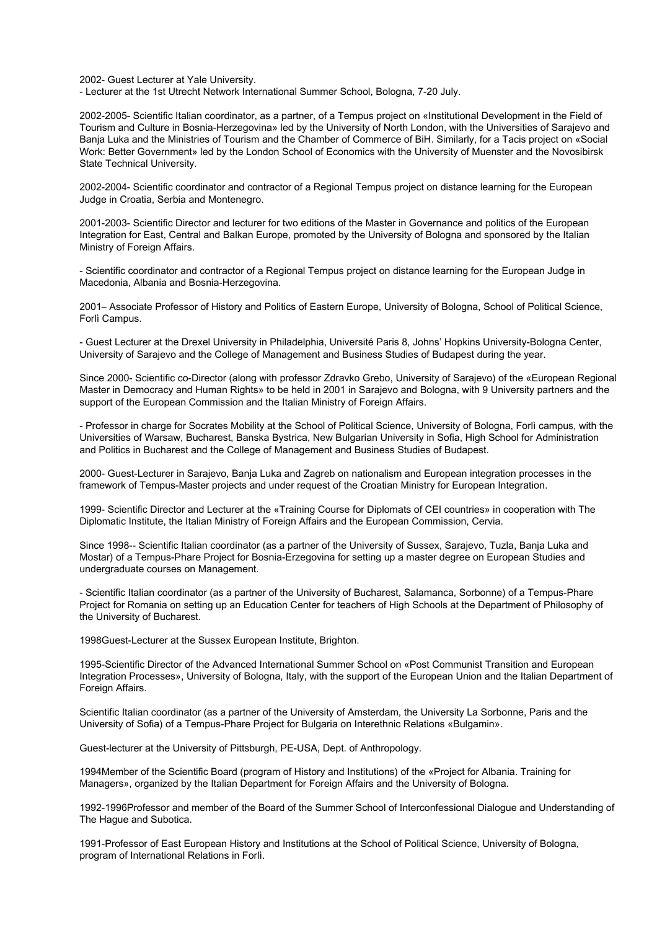2002- Guest Lecturer at Yale University.

- Lecturer at the 1st Utrecht Network International Summer School, Bologna, 7-20 July.

2002-2005- Scientific Italian coordinator, as a partner, of a Tempus project on «Institutional Development in the Field of Tourism and Culture in Bosnia-Herzegovina» led by the University of North London, with the Universities of Sarajevo and Banja Luka and the Ministries of Tourism and the Chamber of Commerce of BiH. Similarly, for a Tacis project on «Social Work: Better Government» led by the London School of Economics with the University of Muenster and the Novosibirsk State Technical University.

2002-2004- Scientific coordinator and contractor of a Regional Tempus project on distance learning for the European Judge in Croatia, Serbia and Montenegro.

2001-2003- Scientific Director and lecturer for two editions of the Master in Governance and politics of the European Integration for East, Central and Balkan Europe, promoted by the University of Bologna and sponsored by the Italian Ministry of Foreign Affairs.

- Scientific coordinator and contractor of a Regional Tempus project on distance learning for the European Judge in Macedonia, Albania and Bosnia-Herzegovina.

2001– Associate Professor of History and Politics of Eastern Europe, University of Bologna, School of Political Science, Forlì Campus.

- Guest Lecturer at the Drexel University in Philadelphia, Université Paris 8, Johns' Hopkins University-Bologna Center, University of Sarajevo and the College of Management and Business Studies of Budapest during the year.

Since 2000- Scientific co-Director (along with professor Zdravko Grebo, University of Sarajevo) of the «European Regional Master in Democracy and Human Rights» to be held in 2001 in Sarajevo and Bologna, with 9 University partners and the support of the European Commission and the Italian Ministry of Foreign Affairs.

- Professor in charge for Socrates Mobility at the School of Political Science, University of Bologna, Forlì campus, with the Universities of Warsaw, Bucharest, Banska Bystrica, New Bulgarian University in Sofia, High School for Administration and Politics in Bucharest and the College of Management and Business Studies of Budapest.

2000- Guest-Lecturer in Sarajevo, Banja Luka and Zagreb on nationalism and European integration processes in the framework of Tempus-Master projects and under request of the Croatian Ministry for European Integration.

1999- Scientific Director and Lecturer at the «Training Course for Diplomats of CEI countries» in cooperation with The Diplomatic Institute, the Italian Ministry of Foreign Affairs and the European Commission, Cervia.

Since 1998-- Scientific Italian coordinator (as a partner of the University of Sussex, Sarajevo, Tuzla, Banja Luka and Mostar) of a Tempus-Phare Project for Bosnia-Erzegovina for setting up a master degree on European Studies and undergraduate courses on Management.

- Scientific Italian coordinator (as a partner of the University of Bucharest, Salamanca, Sorbonne) of a Tempus-Phare Project for Romania on setting up an Education Center for teachers of High Schools at the Department of Philosophy of the University of Bucharest.

1998Guest-Lecturer at the Sussex European Institute, Brighton.

1995-Scientific Director of the Advanced International Summer School on «Post Communist Transition and European Integration Processes», University of Bologna, Italy, with the support of the European Union and the Italian Department of Foreign Affairs.

Scientific Italian coordinator (as a partner of the University of Amsterdam, the University La Sorbonne, Paris and the University of Sofia) of a Tempus-Phare Project for Bulgaria on Interethnic Relations «Bulgamin».

Guest-lecturer at the University of Pittsburgh, PE-USA, Dept. of Anthropology.

1994Member of the Scientific Board (program of History and Institutions) of the «Project for Albania. Training for Managers», organized by the Italian Department for Foreign Affairs and the University of Bologna.

1992-1996Professor and member of the Board of the Summer School of Interconfessional Dialogue and Understanding of The Hague and Subotica.

1991-Professor of East European History and Institutions at the School of Political Science, University of Bologna, program of International Relations in Forlì.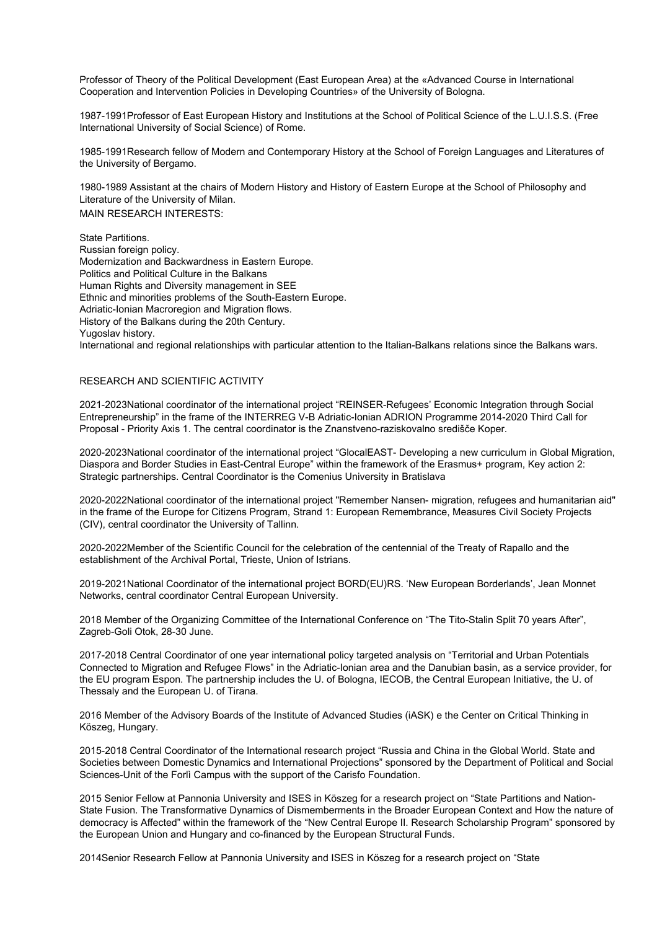Professor of Theory of the Political Development (East European Area) at the «Advanced Course in International Cooperation and Intervention Policies in Developing Countries» of the University of Bologna.

1987-1991Professor of East European History and Institutions at the School of Political Science of the L.U.I.S.S. (Free International University of Social Science) of Rome.

1985-1991Research fellow of Modern and Contemporary History at the School of Foreign Languages and Literatures of the University of Bergamo.

1980-1989 Assistant at the chairs of Modern History and History of Eastern Europe at the School of Philosophy and Literature of the University of Milan.

MAIN RESEARCH INTERESTS:

State Partitions. Russian foreign policy. Modernization and Backwardness in Eastern Europe. Politics and Political Culture in the Balkans Human Rights and Diversity management in SEE Ethnic and minorities problems of the South-Eastern Europe. Adriatic-Ionian Macroregion and Migration flows. History of the Balkans during the 20th Century. Yugoslav history.

International and regional relationships with particular attention to the Italian-Balkans relations since the Balkans wars.

## RESEARCH AND SCIENTIFIC ACTIVITY

2021-2023National coordinator of the international project "REINSER-Refugees' Economic Integration through Social Entrepreneurship" in the frame of the INTERREG V-B Adriatic-Ionian ADRION Programme 2014-2020 Third Call for Proposal - Priority Axis 1. The central coordinator is the Znanstveno-raziskovalno središče Koper.

2020-2023National coordinator of the international project "GlocalEAST- Developing a new curriculum in Global Migration, Diaspora and Border Studies in East-Central Europe" within the framework of the Erasmus+ program, Key action 2: Strategic partnerships. Central Coordinator is the Comenius University in Bratislava

2020-2022National coordinator of the international project "Remember Nansen- migration, refugees and humanitarian aid" in the frame of the Europe for Citizens Program, Strand 1: European Remembrance, Measures Civil Society Projects (CIV), central coordinator the University of Tallinn.

2020-2022Member of the Scientific Council for the celebration of the centennial of the Treaty of Rapallo and the establishment of the Archival Portal, Trieste, Union of Istrians.

2019-2021National Coordinator of the international project BORD(EU)RS. 'New European Borderlands', Jean Monnet Networks, central coordinator Central European University.

2018 Member of the Organizing Committee of the International Conference on "The Tito-Stalin Split 70 years After", Zagreb-Goli Otok, 28-30 June.

2017-2018 Central Coordinator of one year international policy targeted analysis on "Territorial and Urban Potentials Connected to Migration and Refugee Flows" in the Adriatic-Ionian area and the Danubian basin, as a service provider, for the EU program Espon. The partnership includes the U. of Bologna, IECOB, the Central European Initiative, the U. of Thessaly and the European U. of Tirana.

2016 Member of the Advisory Boards of the Institute of Advanced Studies (iASK) e the Center on Critical Thinking in Köszeg, Hungary.

2015-2018 Central Coordinator of the International research project "Russia and China in the Global World. State and Societies between Domestic Dynamics and International Projections" sponsored by the Department of Political and Social Sciences-Unit of the Forlì Campus with the support of the Carisfo Foundation.

2015 Senior Fellow at Pannonia University and ISES in Köszeg for a research project on "State Partitions and Nation-State Fusion. The Transformative Dynamics of Dismemberments in the Broader European Context and How the nature of democracy is Affected" within the framework of the "New Central Europe II. Research Scholarship Program" sponsored by the European Union and Hungary and co-financed by the European Structural Funds.

2014Senior Research Fellow at Pannonia University and ISES in Köszeg for a research project on "State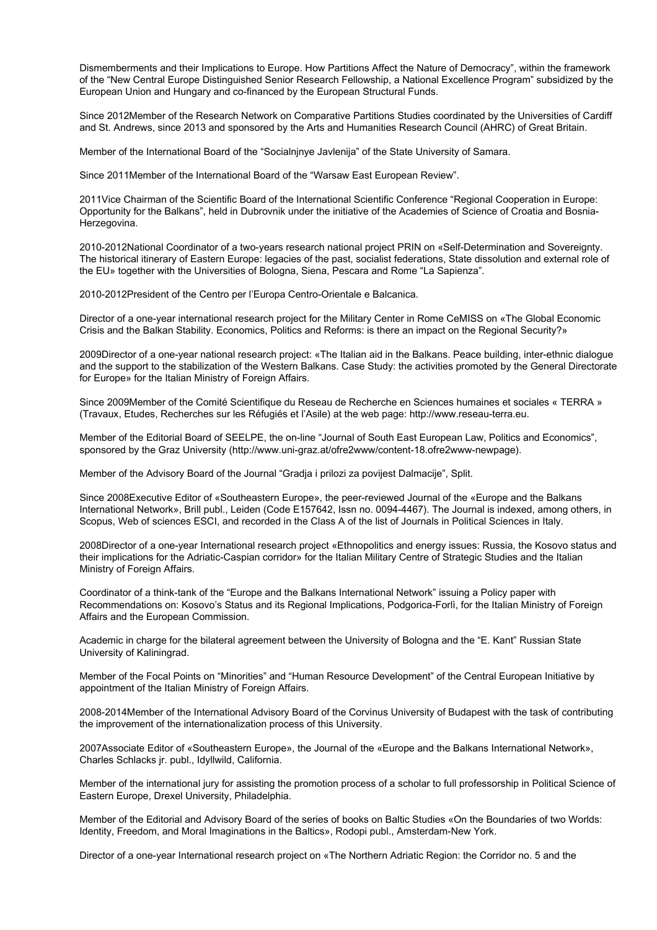Dismemberments and their Implications to Europe. How Partitions Affect the Nature of Democracy", within the framework of the "New Central Europe Distinguished Senior Research Fellowship, a National Excellence Program" subsidized by the European Union and Hungary and co-financed by the European Structural Funds.

Since 2012Member of the Research Network on Comparative Partitions Studies coordinated by the Universities of Cardiff and St. Andrews, since 2013 and sponsored by the Arts and Humanities Research Council (AHRC) of Great Britain.

Member of the International Board of the "Socialnjnye Javlenija" of the State University of Samara.

Since 2011Member of the International Board of the "Warsaw East European Review".

2011Vice Chairman of the Scientific Board of the International Scientific Conference "Regional Cooperation in Europe: Opportunity for the Balkans", held in Dubrovnik under the initiative of the Academies of Science of Croatia and Bosnia-Herzegovina.

2010-2012National Coordinator of a two-years research national project PRIN on «Self-Determination and Sovereignty. The historical itinerary of Eastern Europe: legacies of the past, socialist federations, State dissolution and external role of the EU» together with the Universities of Bologna, Siena, Pescara and Rome "La Sapienza".

2010-2012President of the Centro per l'Europa Centro-Orientale e Balcanica.

Director of a one-year international research project for the Military Center in Rome CeMISS on «The Global Economic Crisis and the Balkan Stability. Economics, Politics and Reforms: is there an impact on the Regional Security?»

2009Director of a one-year national research project: «The Italian aid in the Balkans. Peace building, inter-ethnic dialogue and the support to the stabilization of the Western Balkans. Case Study: the activities promoted by the General Directorate for Europe» for the Italian Ministry of Foreign Affairs.

Since 2009Member of the Comité Scientifique du Reseau de Recherche en Sciences humaines et sociales « TERRA » (Travaux, Etudes, Recherches sur les Réfugiés et l'Asile) at the web page: http://www.reseau-terra.eu.

Member of the Editorial Board of SEELPE, the on-line "Journal of South East European Law, Politics and Economics", sponsored by the Graz University (http://www.uni-graz.at/ofre2www/content-18.ofre2www-newpage).

Member of the Advisory Board of the Journal "Gradja i prilozi za povijest Dalmacije", Split.

Since 2008Executive Editor of «Southeastern Europe», the peer-reviewed Journal of the «Europe and the Balkans International Network», Brill publ., Leiden (Code E157642, Issn no. 0094-4467). The Journal is indexed, among others, in Scopus, Web of sciences ESCI, and recorded in the Class A of the list of Journals in Political Sciences in Italy.

2008Director of a one-year International research project «Ethnopolitics and energy issues: Russia, the Kosovo status and their implications for the Adriatic-Caspian corridor» for the Italian Military Centre of Strategic Studies and the Italian Ministry of Foreign Affairs.

Coordinator of a think-tank of the "Europe and the Balkans International Network" issuing a Policy paper with Recommendations on: Kosovo's Status and its Regional Implications, Podgorica-Forlì, for the Italian Ministry of Foreign Affairs and the European Commission.

Academic in charge for the bilateral agreement between the University of Bologna and the "E. Kant" Russian State University of Kaliningrad.

Member of the Focal Points on "Minorities" and "Human Resource Development" of the Central European Initiative by appointment of the Italian Ministry of Foreign Affairs.

2008-2014Member of the International Advisory Board of the Corvinus University of Budapest with the task of contributing the improvement of the internationalization process of this University.

2007Associate Editor of «Southeastern Europe», the Journal of the «Europe and the Balkans International Network», Charles Schlacks jr. publ., Idyllwild, California.

Member of the international jury for assisting the promotion process of a scholar to full professorship in Political Science of Eastern Europe, Drexel University, Philadelphia.

Member of the Editorial and Advisory Board of the series of books on Baltic Studies «On the Boundaries of two Worlds: Identity, Freedom, and Moral Imaginations in the Baltics», Rodopi publ., Amsterdam-New York.

Director of a one-year International research project on «The Northern Adriatic Region: the Corridor no. 5 and the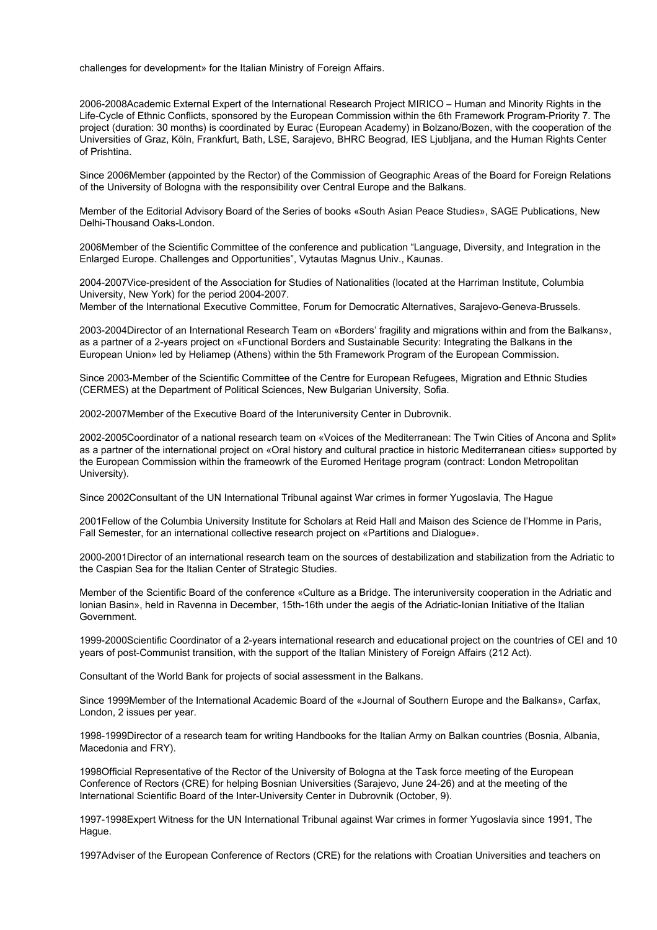challenges for development» for the Italian Ministry of Foreign Affairs.

2006-2008Academic External Expert of the International Research Project MIRICO – Human and Minority Rights in the Life-Cycle of Ethnic Conflicts, sponsored by the European Commission within the 6th Framework Program-Priority 7. The project (duration: 30 months) is coordinated by Eurac (European Academy) in Bolzano/Bozen, with the cooperation of the Universities of Graz, Köln, Frankfurt, Bath, LSE, Sarajevo, BHRC Beograd, IES Ljubljana, and the Human Rights Center of Prishtina.

Since 2006Member (appointed by the Rector) of the Commission of Geographic Areas of the Board for Foreign Relations of the University of Bologna with the responsibility over Central Europe and the Balkans.

Member of the Editorial Advisory Board of the Series of books «South Asian Peace Studies», SAGE Publications, New Delhi-Thousand Oaks-London.

2006Member of the Scientific Committee of the conference and publication "Language, Diversity, and Integration in the Enlarged Europe. Challenges and Opportunities", Vytautas Magnus Univ., Kaunas.

2004-2007Vice-president of the Association for Studies of Nationalities (located at the Harriman Institute, Columbia University, New York) for the period 2004-2007.

Member of the International Executive Committee, Forum for Democratic Alternatives, Sarajevo-Geneva-Brussels.

2003-2004Director of an International Research Team on «Borders' fragility and migrations within and from the Balkans», as a partner of a 2-years project on «Functional Borders and Sustainable Security: Integrating the Balkans in the European Union» led by Heliamep (Athens) within the 5th Framework Program of the European Commission.

Since 2003-Member of the Scientific Committee of the Centre for European Refugees, Migration and Ethnic Studies (CERMES) at the Department of Political Sciences, New Bulgarian University, Sofia.

2002-2007Member of the Executive Board of the Interuniversity Center in Dubrovnik.

2002-2005Coordinator of a national research team on «Voices of the Mediterranean: The Twin Cities of Ancona and Split» as a partner of the international project on «Oral history and cultural practice in historic Mediterranean cities» supported by the European Commission within the frameowrk of the Euromed Heritage program (contract: London Metropolitan University).

Since 2002Consultant of the UN International Tribunal against War crimes in former Yugoslavia, The Hague

2001Fellow of the Columbia University Institute for Scholars at Reid Hall and Maison des Science de l'Homme in Paris, Fall Semester, for an international collective research project on «Partitions and Dialogue».

2000-2001Director of an international research team on the sources of destabilization and stabilization from the Adriatic to the Caspian Sea for the Italian Center of Strategic Studies.

Member of the Scientific Board of the conference «Culture as a Bridge. The interuniversity cooperation in the Adriatic and Ionian Basin», held in Ravenna in December, 15th-16th under the aegis of the Adriatic-Ionian Initiative of the Italian Government.

1999-2000Scientific Coordinator of a 2-years international research and educational project on the countries of CEI and 10 years of post-Communist transition, with the support of the Italian Ministery of Foreign Affairs (212 Act).

Consultant of the World Bank for projects of social assessment in the Balkans.

Since 1999Member of the International Academic Board of the «Journal of Southern Europe and the Balkans», Carfax, London, 2 issues per year.

1998-1999Director of a research team for writing Handbooks for the Italian Army on Balkan countries (Bosnia, Albania, Macedonia and FRY).

1998Official Representative of the Rector of the University of Bologna at the Task force meeting of the European Conference of Rectors (CRE) for helping Bosnian Universities (Sarajevo, June 24-26) and at the meeting of the International Scientific Board of the Inter-University Center in Dubrovnik (October, 9).

1997-1998Expert Witness for the UN International Tribunal against War crimes in former Yugoslavia since 1991, The Hague.

1997Adviser of the European Conference of Rectors (CRE) for the relations with Croatian Universities and teachers on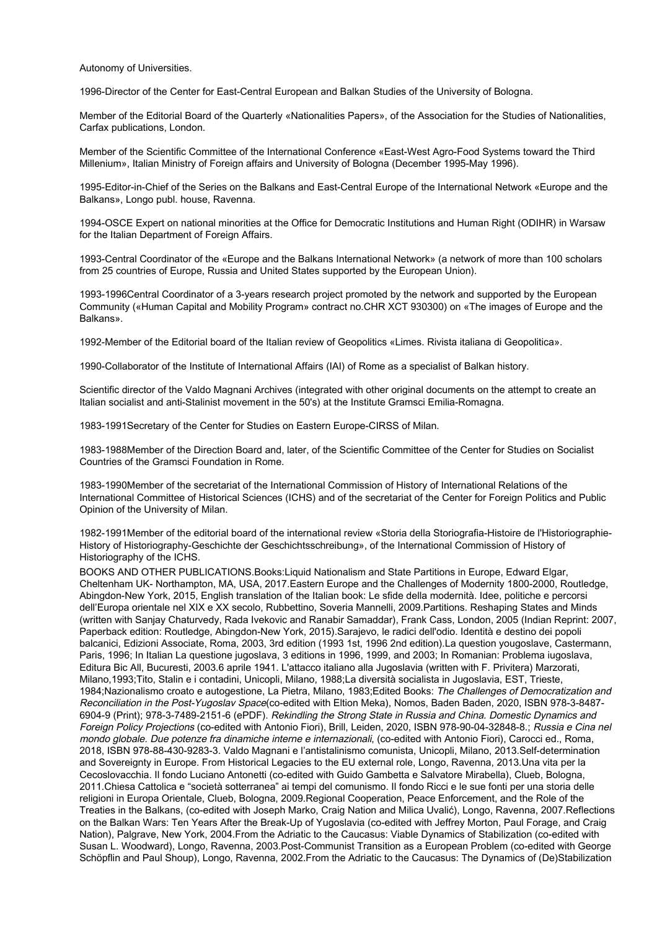Autonomy of Universities.

1996-Director of the Center for East-Central European and Balkan Studies of the University of Bologna.

Member of the Editorial Board of the Quarterly «Nationalities Papers», of the Association for the Studies of Nationalities, Carfax publications, London.

Member of the Scientific Committee of the International Conference «East-West Agro-Food Systems toward the Third Millenium», Italian Ministry of Foreign affairs and University of Bologna (December 1995-May 1996).

1995-Editor-in-Chief of the Series on the Balkans and East-Central Europe of the International Network «Europe and the Balkans», Longo publ. house, Ravenna.

1994-OSCE Expert on national minorities at the Office for Democratic Institutions and Human Right (ODIHR) in Warsaw for the Italian Department of Foreign Affairs.

1993-Central Coordinator of the «Europe and the Balkans International Network» (a network of more than 100 scholars from 25 countries of Europe, Russia and United States supported by the European Union).

1993-1996Central Coordinator of a 3-years research project promoted by the network and supported by the European Community («Human Capital and Mobility Program» contract no.CHR XCT 930300) on «The images of Europe and the Balkans».

1992-Member of the Editorial board of the Italian review of Geopolitics «Limes. Rivista italiana di Geopolitica».

1990-Collaborator of the Institute of International Affairs (IAI) of Rome as a specialist of Balkan history.

Scientific director of the Valdo Magnani Archives (integrated with other original documents on the attempt to create an Italian socialist and anti-Stalinist movement in the 50's) at the Institute Gramsci Emilia-Romagna.

1983-1991Secretary of the Center for Studies on Eastern Europe-CIRSS of Milan.

1983-1988Member of the Direction Board and, later, of the Scientific Committee of the Center for Studies on Socialist Countries of the Gramsci Foundation in Rome.

1983-1990Member of the secretariat of the International Commission of History of International Relations of the International Committee of Historical Sciences (ICHS) and of the secretariat of the Center for Foreign Politics and Public Opinion of the University of Milan.

1982-1991Member of the editorial board of the international review «Storia della Storiografia-Histoire de l'Historiographie-History of Historiography-Geschichte der Geschichtsschreibung», of the International Commission of History of Historiography of the ICHS.

BOOKS AND OTHER PUBLICATIONS.Books:Liquid Nationalism and State Partitions in Europe, Edward Elgar, Cheltenham UK- Northampton, MA, USA, 2017.Eastern Europe and the Challenges of Modernity 1800-2000, Routledge, Abingdon-New York, 2015, English translation of the Italian book: Le sfide della modernità. Idee, politiche e percorsi dell'Europa orientale nel XIX e XX secolo, Rubbettino, Soveria Mannelli, 2009.Partitions. Reshaping States and Minds (written with Sanjay Chaturvedy, Rada Ivekovic and Ranabir Samaddar), Frank Cass, London, 2005 (Indian Reprint: 2007, Paperback edition: Routledge, Abingdon-New York, 2015).Sarajevo, le radici dell'odio. Identità e destino dei popoli balcanici, Edizioni Associate, Roma, 2003, 3rd edition (1993 1st, 1996 2nd edition).La question yougoslave, Castermann, Paris, 1996; In Italian La questione jugoslava, 3 editions in 1996, 1999, and 2003; In Romanian: Problema iugoslava, Editura Bic All, Bucuresti, 2003.6 aprile 1941. L'attacco italiano alla Jugoslavia (written with F. Privitera) Marzorati, Milano,1993;Tito, Stalin e i contadini, Unicopli, Milano, 1988;La diversità socialista in Jugoslavia, EST, Trieste, 1984;Nazionalismo croato e autogestione, La Pietra, Milano, 1983;Edited Books: The Challenges of Democratization and Reconciliation in the Post-Yugoslav Space(co-edited with Eltion Meka), Nomos, Baden Baden, 2020, ISBN 978-3-8487- 6904-9 (Print); 978-3-7489-2151-6 (ePDF). Rekindling the Strong State in Russia and China. Domestic Dynamics and Foreign Policy Projections (co-edited with Antonio Fiori), Brill, Leiden, 2020, ISBN 978-90-04-32848-8.; Russia e Cina nel mondo globale. Due potenze fra dinamiche interne e internazionali, (co-edited with Antonio Fiori), Carocci ed., Roma, 2018, ISBN 978-88-430-9283-3. Valdo Magnani e l'antistalinismo comunista, Unicopli, Milano, 2013.Self-determination and Sovereignty in Europe. From Historical Legacies to the EU external role, Longo, Ravenna, 2013.Una vita per la Cecoslovacchia. Il fondo Luciano Antonetti (co-edited with Guido Gambetta e Salvatore Mirabella), Clueb, Bologna, 2011.Chiesa Cattolica e "società sotterranea" ai tempi del comunismo. Il fondo Ricci e le sue fonti per una storia delle religioni in Europa Orientale, Clueb, Bologna, 2009.Regional Cooperation, Peace Enforcement, and the Role of the Treaties in the Balkans, (co-edited with Joseph Marko, Craig Nation and Milica Uvalić), Longo, Ravenna, 2007.Reflections on the Balkan Wars: Ten Years After the Break-Up of Yugoslavia (co-edited with Jeffrey Morton, Paul Forage, and Craig Nation), Palgrave, New York, 2004.From the Adriatic to the Caucasus: Viable Dynamics of Stabilization (co-edited with Susan L. Woodward), Longo, Ravenna, 2003.Post-Communist Transition as a European Problem (co-edited with George Schöpflin and Paul Shoup), Longo, Ravenna, 2002.From the Adriatic to the Caucasus: The Dynamics of (De)Stabilization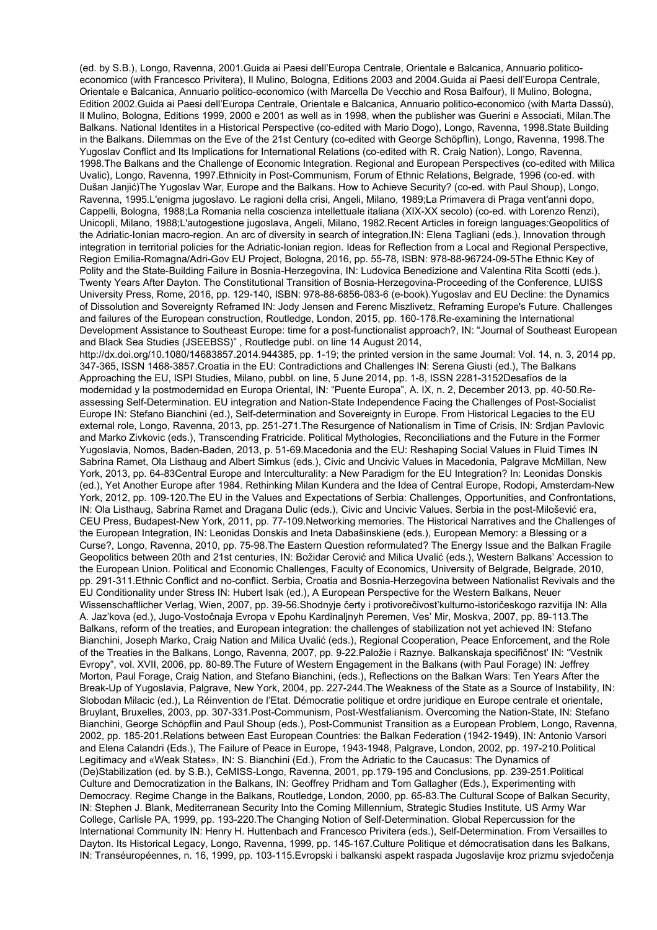(ed. by S.B.), Longo, Ravenna, 2001.Guida ai Paesi dell'Europa Centrale, Orientale e Balcanica, Annuario politicoeconomico (with Francesco Privitera), Il Mulino, Bologna, Editions 2003 and 2004.Guida ai Paesi dell'Europa Centrale, Orientale e Balcanica, Annuario politico-economico (with Marcella De Vecchio and Rosa Balfour), Il Mulino, Bologna, Edition 2002.Guida ai Paesi dell'Europa Centrale, Orientale e Balcanica, Annuario politico-economico (with Marta Dassù), Il Mulino, Bologna, Editions 1999, 2000 e 2001 as well as in 1998, when the publisher was Guerini e Associati, Milan.The Balkans. National Identites in a Historical Perspective (co-edited with Mario Dogo), Longo, Ravenna, 1998.State Building in the Balkans. Dilemmas on the Eve of the 21st Century (co-edited with George Schöpflin), Longo, Ravenna, 1998.The Yugoslav Conflict and Its Implications for International Relations (co-edited with R. Craig Nation), Longo, Ravenna, 1998.The Balkans and the Challenge of Economic Integration. Regional and European Perspectives (co-edited with Milica Uvalic), Longo, Ravenna, 1997.Ethnicity in Post-Communism, Forum of Ethnic Relations, Belgrade, 1996 (co-ed. with Dušan Janjić)The Yugoslav War, Europe and the Balkans. How to Achieve Security? (co-ed. with Paul Shoup), Longo, Ravenna, 1995.L'enigma jugoslavo. Le ragioni della crisi, Angeli, Milano, 1989;La Primavera di Praga vent'anni dopo, Cappelli, Bologna, 1988;La Romania nella coscienza intellettuale italiana (XIX-XX secolo) (co-ed. with Lorenzo Renzi), Unicopli, Milano, 1988;L'autogestione jugoslava, Angeli, Milano, 1982.Recent Articles in foreign languages:Geopolitics of the Adriatic-Ionian macro-region. An arc of diversity in search of integration,IN: Elena Tagliani (eds.), Innovation through integration in territorial policies for the Adriatic-Ionian region. Ideas for Reflection from a Local and Regional Perspective, Region Emilia-Romagna/Adri-Gov EU Project, Bologna, 2016, pp. 55-78, ISBN: 978-88-96724-09-5The Ethnic Key of Polity and the State-Building Failure in Bosnia-Herzegovina, IN: Ludovica Benedizione and Valentina Rita Scotti (eds.), Twenty Years After Dayton. The Constitutional Transition of Bosnia-Herzegovina-Proceeding of the Conference, LUISS University Press, Rome, 2016, pp. 129-140, ISBN: 978-88-6856-083-6 (e-book).Yugoslav and EU Decline: the Dynamics of Dissolution and Sovereignty Reframed IN: Jody Jensen and Ferenc Miszlivetz, Reframing Europe's Future. Challenges and failures of the European construction, Routledge, London, 2015, pp. 160-178.Re-examining the International Development Assistance to Southeast Europe: time for a post-functionalist approach?, IN: "Journal of Southeast European and Black Sea Studies (JSEEBSS)" , Routledge publ. on line 14 August 2014, http://dx.doi.org/10.1080/14683857.2014.944385, pp. 1-19; the printed version in the same Journal: Vol. 14, n. 3, 2014 pp, 347-365, ISSN 1468-3857.Croatia in the EU: Contradictions and Challenges IN: Serena Giusti (ed.), The Balkans Approaching the EU, ISPI Studies, Milano, pubbl. on line, 5 June 2014, pp. 1-8, ISSN 2281-3152Desafíos de la modernidad y la postmodernidad en Europa Oriental, IN: "Puente Europa", A. IX, n. 2, December 2013, pp. 40-50.Reassessing Self-Determination. EU integration and Nation-State Independence Facing the Challenges of Post-Socialist Europe IN: Stefano Bianchini (ed.), Self-determination and Sovereignty in Europe. From Historical Legacies to the EU external role, Longo, Ravenna, 2013, pp. 251-271.The Resurgence of Nationalism in Time of Crisis, IN: Srdjan Pavlovic and Marko Zivkovic (eds.), Transcending Fratricide. Political Mythologies, Reconciliations and the Future in the Former Yugoslavia, Nomos, Baden-Baden, 2013, p. 51-69.Macedonia and the EU: Reshaping Social Values in Fluid Times IN Sabrina Ramet, Ola Listhaug and Albert Simkus (eds.), Civic and Uncivic Values in Macedonia, Palgrave McMillan, New York, 2013, pp. 64-83Central Europe and Interculturality: a New Paradigm for the EU Integration? In: Leonidas Donskis (ed.), Yet Another Europe after 1984. Rethinking Milan Kundera and the Idea of Central Europe, Rodopi, Amsterdam-New York, 2012, pp. 109-120.The EU in the Values and Expectations of Serbia: Challenges, Opportunities, and Confrontations, IN: Ola Listhaug, Sabrina Ramet and Dragana Dulic (eds.), Civic and Uncivic Values. Serbia in the post-Milošević era, CEU Press, Budapest-New York, 2011, pp. 77-109.Networking memories. The Historical Narratives and the Challenges of the European Integration, IN: Leonidas Donskis and Ineta Dabašinskiene (eds.), European Memory: a Blessing or a Curse?, Longo, Ravenna, 2010, pp. 75-98.The Eastern Question reformulated? The Energy Issue and the Balkan Fragile Geopolitics between 20th and 21st centuries, IN: Božidar Cerović and Milica Uvalić (eds.), Western Balkans' Accession to the European Union. Political and Economic Challenges, Faculty of Economics, University of Belgrade, Belgrade, 2010, pp. 291-311.Ethnic Conflict and no-conflict. Serbia, Croatia and Bosnia-Herzegovina between Nationalist Revivals and the EU Conditionality under Stress IN: Hubert Isak (ed.), A European Perspective for the Western Balkans, Neuer Wissenschaftlicher Verlag, Wien, 2007, pp. 39-56.Shodnyje čerty i protivorečivost'kulturno-istoričeskogo razvitija IN: Alla A. Jaz'kova (ed.), Jugo-Vostočnaja Evropa v Epohu Kardinaljnyh Peremen, Ves' Mir, Moskva, 2007, pp. 89-113.The Balkans, reform of the treaties, and European integration: the challenges of stabilization not yet achieved IN: Stefano Bianchini, Joseph Marko, Craig Nation and Milica Uvalić (eds.), Regional Cooperation, Peace Enforcement, and the Role of the Treaties in the Balkans, Longo, Ravenna, 2007, pp. 9-22.Paložie i Raznye. Balkanskaja specifičnost' IN: "Vestnik Evropy", vol. XVII, 2006, pp. 80-89.The Future of Western Engagement in the Balkans (with Paul Forage) IN: Jeffrey Morton, Paul Forage, Craig Nation, and Stefano Bianchini, (eds.), Reflections on the Balkan Wars: Ten Years After the Break-Up of Yugoslavia, Palgrave, New York, 2004, pp. 227-244. The Weakness of the State as a Source of Instability, IN: Slobodan Milacic (ed.), La Réinvention de l'Etat. Démocratie politique et ordre juridique en Europe centrale et orientale, Bruylant, Bruxelles, 2003, pp. 307-331.Post-Communism, Post-Westfalianism. Overcoming the Nation-State, IN: Stefano Bianchini, George Schöpflin and Paul Shoup (eds.), Post-Communist Transition as a European Problem, Longo, Ravenna, 2002, pp. 185-201.Relations between East European Countries: the Balkan Federation (1942-1949), IN: Antonio Varsori and Elena Calandri (Eds.), The Failure of Peace in Europe, 1943-1948, Palgrave, London, 2002, pp. 197-210.Political Legitimacy and «Weak States», IN: S. Bianchini (Ed.), From the Adriatic to the Caucasus: The Dynamics of (De)Stabilization (ed. by S.B.), CeMISS-Longo, Ravenna, 2001, pp.179-195 and Conclusions, pp. 239-251.Political Culture and Democratization in the Balkans, IN: Geoffrey Pridham and Tom Gallagher (Eds.), Experimenting with Democracy. Regime Change in the Balkans, Routledge, London, 2000, pp. 65-83.The Cultural Scope of Balkan Security, IN: Stephen J. Blank, Mediterranean Security Into the Coming Millennium, Strategic Studies Institute, US Army War College, Carlisle PA, 1999, pp. 193-220.The Changing Notion of Self-Determination. Global Repercussion for the International Community IN: Henry H. Huttenbach and Francesco Privitera (eds.), Self-Determination. From Versailles to Dayton. Its Historical Legacy, Longo, Ravenna, 1999, pp. 145-167.Culture Politique et démocratisation dans les Balkans, IN: Transéuropéennes, n. 16, 1999, pp. 103-115.Evropski i balkanski aspekt raspada Jugoslavije kroz prizmu svjedočenja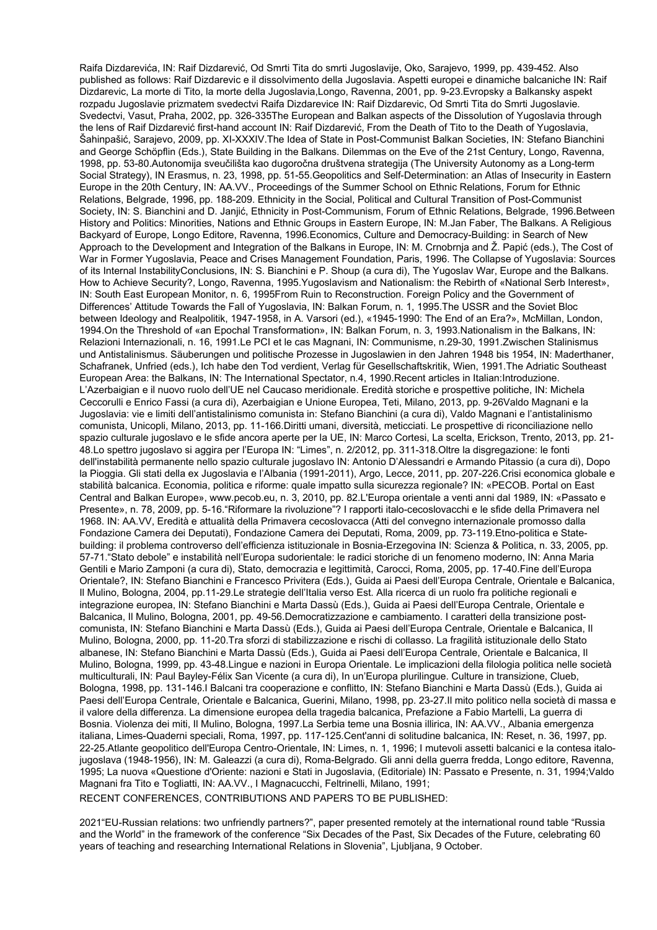Raifa Dizdarevića, IN: Raif Dizdarević, Od Smrti Tita do smrti Jugoslavije, Oko, Sarajevo, 1999, pp. 439-452. Also published as follows: Raif Dizdarevic e il dissolvimento della Jugoslavia. Aspetti europei e dinamiche balcaniche IN: Raif Dizdarevic, La morte di Tito, la morte della Jugoslavia,Longo, Ravenna, 2001, pp. 9-23.Evropsky a Balkansky aspekt rozpadu Jugoslavie prizmatem svedectvi Raifa Dizdarevice IN: Raif Dizdarevic, Od Smrti Tita do Smrti Jugoslavie. Svedectvi, Vasut, Praha, 2002, pp. 326-335The European and Balkan aspects of the Dissolution of Yugoslavia through the lens of Raif Dizdarević first-hand account IN: Raif Dizdarević, From the Death of Tito to the Death of Yugoslavia, Šahinpašić, Sarajevo, 2009, pp. XI-XXXIV.The Idea of State in Post-Communist Balkan Societies, IN: Stefano Bianchini and George Schöpflin (Eds.), State Building in the Balkans. Dilemmas on the Eve of the 21st Century, Longo, Ravenna, 1998, pp. 53-80.Autonomija sveučilišta kao dugoročna društvena strategija (The University Autonomy as a Long-term Social Strategy), IN Erasmus, n. 23, 1998, pp. 51-55.Geopolitics and Self-Determination: an Atlas of Insecurity in Eastern Europe in the 20th Century, IN: AA.VV., Proceedings of the Summer School on Ethnic Relations, Forum for Ethnic Relations, Belgrade, 1996, pp. 188-209. Ethnicity in the Social, Political and Cultural Transition of Post-Communist Society, IN: S. Bianchini and D. Janjić, Ethnicity in Post-Communism, Forum of Ethnic Relations, Belgrade, 1996.Between History and Politics: Minorities, Nations and Ethnic Groups in Eastern Europe, IN: M.Jan Faber, The Balkans. A Religious Backyard of Europe, Longo Editore, Ravenna, 1996.Economics, Culture and Democracy-Building: in Search of New Approach to the Development and Integration of the Balkans in Europe, IN: M. Crnobrnja and Ž. Papić (eds.), The Cost of War in Former Yugoslavia, Peace and Crises Management Foundation, Paris, 1996. The Collapse of Yugoslavia: Sources of its Internal InstabilityConclusions, IN: S. Bianchini e P. Shoup (a cura di), The Yugoslav War, Europe and the Balkans. How to Achieve Security?, Longo, Ravenna, 1995.Yugoslavism and Nationalism: the Rebirth of «National Serb Interest», IN: South East European Monitor, n. 6, 1995From Ruin to Reconstruction. Foreign Policy and the Government of Differences' Attitude Towards the Fall of Yugoslavia, IN: Balkan Forum, n. 1, 1995.The USSR and the Soviet Bloc between Ideology and Realpolitik, 1947-1958, in A. Varsori (ed.), «1945-1990: The End of an Era?», McMillan, London, 1994.On the Threshold of «an Epochal Transformation», IN: Balkan Forum, n. 3, 1993.Nationalism in the Balkans, IN: Relazioni Internazionali, n. 16, 1991.Le PCI et le cas Magnani, IN: Communisme, n.29-30, 1991.Zwischen Stalinismus und Antistalinismus. Säuberungen und politische Prozesse in Jugoslawien in den Jahren 1948 bis 1954, IN: Maderthaner, Schafranek, Unfried (eds.), Ich habe den Tod verdient, Verlag für Gesellschaftskritik, Wien, 1991.The Adriatic Southeast European Area: the Balkans, IN: The International Spectator, n.4, 1990.Recent articles in Italian:Introduzione. L'Azerbaigian e il nuovo ruolo dell'UE nel Caucaso meridionale. Eredità storiche e prospettive politiche, IN: Michela Ceccorulli e Enrico Fassi (a cura di), Azerbaigian e Unione Europea, Teti, Milano, 2013, pp. 9-26Valdo Magnani e la Jugoslavia: vie e limiti dell'antistalinismo comunista in: Stefano Bianchini (a cura di), Valdo Magnani e l'antistalinismo comunista, Unicopli, Milano, 2013, pp. 11-166.Diritti umani, diversità, meticciati. Le prospettive di riconciliazione nello spazio culturale jugoslavo e le sfide ancora aperte per la UE, IN: Marco Cortesi, La scelta, Erickson, Trento, 2013, pp. 21- 48.Lo spettro jugoslavo si aggira per l'Europa IN: "Limes", n. 2/2012, pp. 311-318.Oltre la disgregazione: le fonti dell'instabilità permanente nello spazio culturale jugoslavo IN: Antonio D'Alessandri e Armando Pitassio (a cura di), Dopo la Pioggia. Gli stati della ex Jugoslavia e l'Albania (1991-2011), Argo, Lecce, 2011, pp. 207-226.Crisi economica globale e stabilità balcanica. Economia, politica e riforme: quale impatto sulla sicurezza regionale? IN: «PECOB. Portal on East Central and Balkan Europe», www.pecob.eu, n. 3, 2010, pp. 82.L'Europa orientale a venti anni dal 1989, IN: «Passato e Presente», n. 78, 2009, pp. 5-16."Riformare la rivoluzione"? I rapporti italo-cecoslovacchi e le sfide della Primavera nel 1968. IN: AA.VV, Eredità e attualità della Primavera cecoslovacca (Atti del convegno internazionale promosso dalla Fondazione Camera dei Deputati), Fondazione Camera dei Deputati, Roma, 2009, pp. 73-119.Etno-politica e Statebuilding: il problema controverso dell'efficienza istituzionale in Bosnia-Erzegovina IN: Scienza & Politica, n. 33, 2005, pp. 57-71."Stato debole" e instabilità nell'Europa sudorientale: le radici storiche di un fenomeno moderno, IN: Anna Maria Gentili e Mario Zamponi (a cura di), Stato, democrazia e legittimità, Carocci, Roma, 2005, pp. 17-40.Fine dell'Europa Orientale?, IN: Stefano Bianchini e Francesco Privitera (Eds.), Guida ai Paesi dell'Europa Centrale, Orientale e Balcanica, Il Mulino, Bologna, 2004, pp.11-29.Le strategie dell'Italia verso Est. Alla ricerca di un ruolo fra politiche regionali e integrazione europea, IN: Stefano Bianchini e Marta Dassù (Eds.), Guida ai Paesi dell'Europa Centrale, Orientale e Balcanica, Il Mulino, Bologna, 2001, pp. 49-56.Democratizzazione e cambiamento. I caratteri della transizione postcomunista, IN: Stefano Bianchini e Marta Dassù (Eds.), Guida ai Paesi dell'Europa Centrale, Orientale e Balcanica, Il Mulino, Bologna, 2000, pp. 11-20.Tra sforzi di stabilizzazione e rischi di collasso. La fragilità istituzionale dello Stato albanese, IN: Stefano Bianchini e Marta Dassù (Eds.), Guida ai Paesi dell'Europa Centrale, Orientale e Balcanica, Il Mulino, Bologna, 1999, pp. 43-48.Lingue e nazioni in Europa Orientale. Le implicazioni della filologia politica nelle società multiculturali, IN: Paul Bayley-Félix San Vicente (a cura di), In un'Europa plurilingue. Culture in transizione, Clueb, Bologna, 1998, pp. 131-146.I Balcani tra cooperazione e conflitto, IN: Stefano Bianchini e Marta Dassù (Eds.), Guida ai Paesi dell'Europa Centrale, Orientale e Balcanica, Guerini, Milano, 1998, pp. 23-27.Il mito politico nella società di massa e il valore della differenza. La dimensione europea della tragedia balcanica, Prefazione a Fabio Martelli, La guerra di Bosnia. Violenza dei miti, Il Mulino, Bologna, 1997.La Serbia teme una Bosnia illirica, IN: AA.VV., Albania emergenza italiana, Limes-Quaderni speciali, Roma, 1997, pp. 117-125.Cent'anni di solitudine balcanica, IN: Reset, n. 36, 1997, pp. 22-25.Atlante geopolitico dell'Europa Centro-Orientale, IN: Limes, n. 1, 1996; I mutevoli assetti balcanici e la contesa italojugoslava (1948-1956), IN: M. Galeazzi (a cura di), Roma-Belgrado. Gli anni della guerra fredda, Longo editore, Ravenna, 1995; La nuova «Questione d'Oriente: nazioni e Stati in Jugoslavia, (Editoriale) IN: Passato e Presente, n. 31, 1994;Valdo Magnani fra Tito e Togliatti, IN: AA.VV., I Magnacucchi, Feltrinelli, Milano, 1991;

RECENT CONFERENCES, CONTRIBUTIONS AND PAPERS TO BE PUBLISHED:

2021"EU-Russian relations: two unfriendly partners?", paper presented remotely at the international round table "Russia and the World" in the framework of the conference "Six Decades of the Past, Six Decades of the Future, celebrating 60 years of teaching and researching International Relations in Slovenia", Ljubljana, 9 October.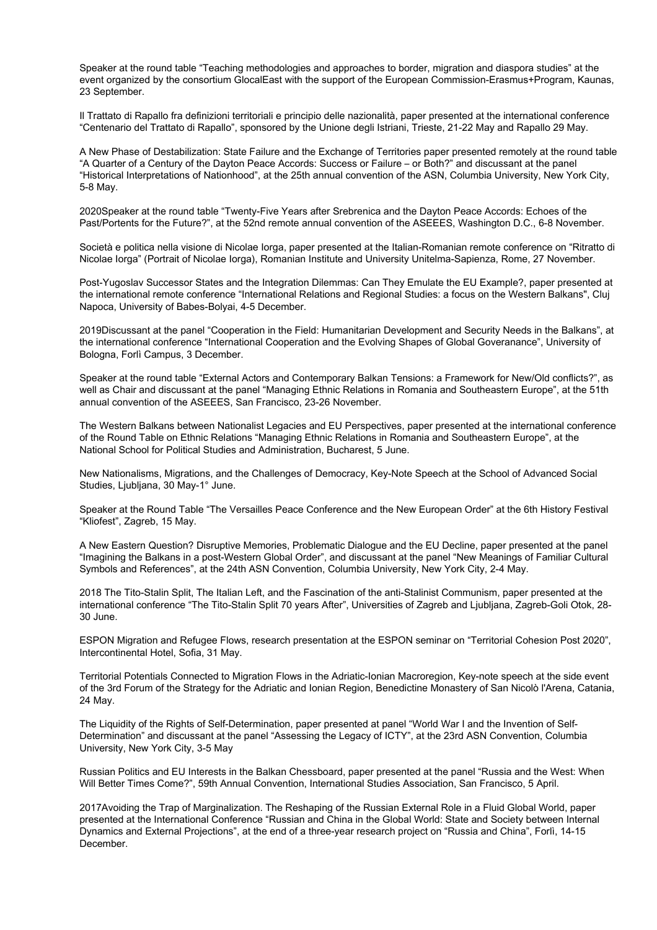Speaker at the round table "Teaching methodologies and approaches to border, migration and diaspora studies" at the event organized by the consortium GlocalEast with the support of the European Commission-Erasmus+Program, Kaunas, 23 September.

Il Trattato di Rapallo fra definizioni territoriali e principio delle nazionalità, paper presented at the international conference "Centenario del Trattato di Rapallo", sponsored by the Unione degli Istriani, Trieste, 21-22 May and Rapallo 29 May.

A New Phase of Destabilization: State Failure and the Exchange of Territories paper presented remotely at the round table "A Quarter of a Century of the Dayton Peace Accords: Success or Failure – or Both?" and discussant at the panel "Historical Interpretations of Nationhood", at the 25th annual convention of the ASN, Columbia University, New York City, 5-8 May.

2020Speaker at the round table "Twenty-Five Years after Srebrenica and the Dayton Peace Accords: Echoes of the Past/Portents for the Future?", at the 52nd remote annual convention of the ASEEES, Washington D.C., 6-8 November.

Società e politica nella visione di Nicolae Iorga, paper presented at the Italian-Romanian remote conference on "Ritratto di Nicolae Iorga" (Portrait of Nicolae Iorga), Romanian Institute and University Unitelma-Sapienza, Rome, 27 November.

Post-Yugoslav Successor States and the Integration Dilemmas: Can They Emulate the EU Example?, paper presented at the international remote conference "International Relations and Regional Studies: a focus on the Western Balkans", Cluj Napoca, University of Babes-Bolyai, 4-5 December.

2019Discussant at the panel "Cooperation in the Field: Humanitarian Development and Security Needs in the Balkans", at the international conference "International Cooperation and the Evolving Shapes of Global Goveranance", University of Bologna, Forlì Campus, 3 December.

Speaker at the round table "External Actors and Contemporary Balkan Tensions: a Framework for New/Old conflicts?", as well as Chair and discussant at the panel "Managing Ethnic Relations in Romania and Southeastern Europe", at the 51th annual convention of the ASEEES, San Francisco, 23-26 November.

The Western Balkans between Nationalist Legacies and EU Perspectives, paper presented at the international conference of the Round Table on Ethnic Relations "Managing Ethnic Relations in Romania and Southeastern Europe", at the National School for Political Studies and Administration, Bucharest, 5 June.

New Nationalisms, Migrations, and the Challenges of Democracy, Key-Note Speech at the School of Advanced Social Studies, Ljubljana, 30 May-1° June.

Speaker at the Round Table "The Versailles Peace Conference and the New European Order" at the 6th History Festival "Kliofest", Zagreb, 15 May.

A New Eastern Question? Disruptive Memories, Problematic Dialogue and the EU Decline, paper presented at the panel "Imagining the Balkans in a post-Western Global Order", and discussant at the panel "New Meanings of Familiar Cultural Symbols and References", at the 24th ASN Convention, Columbia University, New York City, 2-4 May.

2018 The Tito-Stalin Split, The Italian Left, and the Fascination of the anti-Stalinist Communism, paper presented at the international conference "The Tito-Stalin Split 70 years After", Universities of Zagreb and Ljubljana, Zagreb-Goli Otok, 28- 30 June.

ESPON Migration and Refugee Flows, research presentation at the ESPON seminar on "Territorial Cohesion Post 2020", Intercontinental Hotel, Sofia, 31 May.

Territorial Potentials Connected to Migration Flows in the Adriatic-Ionian Macroregion, Key-note speech at the side event of the 3rd Forum of the Strategy for the Adriatic and Ionian Region, Benedictine Monastery of San Nicolò l'Arena, Catania, 24 May.

The Liquidity of the Rights of Self-Determination, paper presented at panel "World War I and the Invention of Self-Determination" and discussant at the panel "Assessing the Legacy of ICTY", at the 23rd ASN Convention, Columbia University, New York City, 3-5 May

Russian Politics and EU Interests in the Balkan Chessboard, paper presented at the panel "Russia and the West: When Will Better Times Come?", 59th Annual Convention, International Studies Association, San Francisco, 5 April.

2017Avoiding the Trap of Marginalization. The Reshaping of the Russian External Role in a Fluid Global World, paper presented at the International Conference "Russian and China in the Global World: State and Society between Internal Dynamics and External Projections", at the end of a three-year research project on "Russia and China", Forlì, 14-15 December.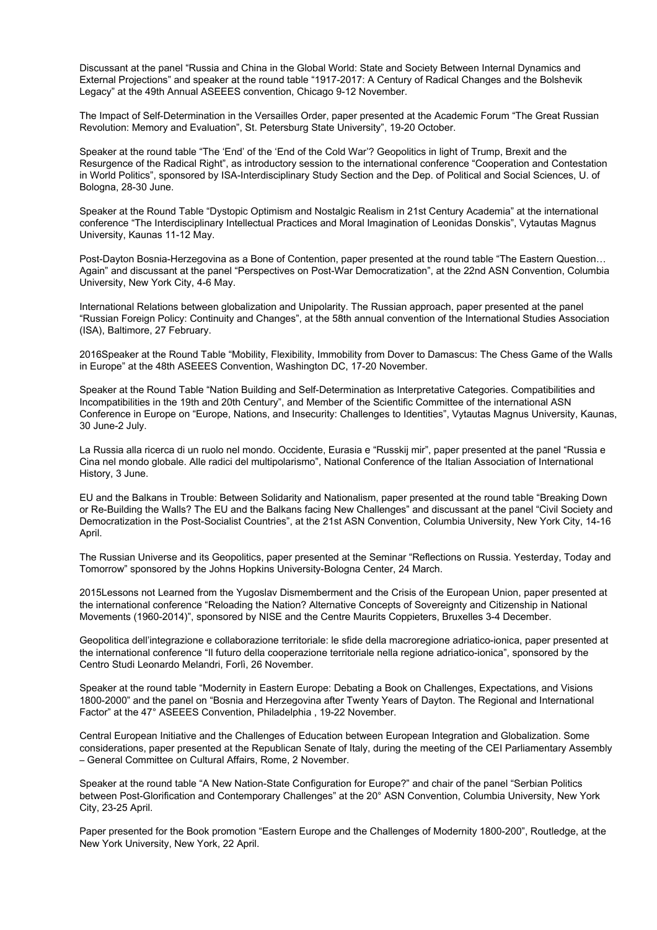Discussant at the panel "Russia and China in the Global World: State and Society Between Internal Dynamics and External Projections" and speaker at the round table "1917-2017: A Century of Radical Changes and the Bolshevik Legacy" at the 49th Annual ASEEES convention, Chicago 9-12 November.

The Impact of Self-Determination in the Versailles Order, paper presented at the Academic Forum "The Great Russian Revolution: Memory and Evaluation", St. Petersburg State University", 19-20 October.

Speaker at the round table "The 'End' of the 'End of the Cold War'? Geopolitics in light of Trump, Brexit and the Resurgence of the Radical Right", as introductory session to the international conference "Cooperation and Contestation in World Politics", sponsored by ISA-Interdisciplinary Study Section and the Dep. of Political and Social Sciences, U. of Bologna, 28-30 June.

Speaker at the Round Table "Dystopic Optimism and Nostalgic Realism in 21st Century Academia" at the international conference "The Interdisciplinary Intellectual Practices and Moral Imagination of Leonidas Donskis", Vytautas Magnus University, Kaunas 11-12 May.

Post-Dayton Bosnia-Herzegovina as a Bone of Contention, paper presented at the round table "The Eastern Question… Again" and discussant at the panel "Perspectives on Post-War Democratization", at the 22nd ASN Convention, Columbia University, New York City, 4-6 May.

International Relations between globalization and Unipolarity. The Russian approach, paper presented at the panel "Russian Foreign Policy: Continuity and Changes", at the 58th annual convention of the International Studies Association (ISA), Baltimore, 27 February.

2016Speaker at the Round Table "Mobility, Flexibility, Immobility from Dover to Damascus: The Chess Game of the Walls in Europe" at the 48th ASEEES Convention, Washington DC, 17-20 November.

Speaker at the Round Table "Nation Building and Self-Determination as Interpretative Categories. Compatibilities and Incompatibilities in the 19th and 20th Century", and Member of the Scientific Committee of the international ASN Conference in Europe on "Europe, Nations, and Insecurity: Challenges to Identities", Vytautas Magnus University, Kaunas, 30 June-2 July.

La Russia alla ricerca di un ruolo nel mondo. Occidente, Eurasia e "Russkij mir", paper presented at the panel "Russia e Cina nel mondo globale. Alle radici del multipolarismo", National Conference of the Italian Association of International History, 3 June.

EU and the Balkans in Trouble: Between Solidarity and Nationalism, paper presented at the round table "Breaking Down or Re-Building the Walls? The EU and the Balkans facing New Challenges" and discussant at the panel "Civil Society and Democratization in the Post-Socialist Countries", at the 21st ASN Convention, Columbia University, New York City, 14-16 April.

The Russian Universe and its Geopolitics, paper presented at the Seminar "Reflections on Russia. Yesterday, Today and Tomorrow" sponsored by the Johns Hopkins University-Bologna Center, 24 March.

2015Lessons not Learned from the Yugoslav Dismemberment and the Crisis of the European Union, paper presented at the international conference "Reloading the Nation? Alternative Concepts of Sovereignty and Citizenship in National Movements (1960-2014)", sponsored by NISE and the Centre Maurits Coppieters, Bruxelles 3-4 December.

Geopolitica dell'integrazione e collaborazione territoriale: le sfide della macroregione adriatico-ionica, paper presented at the international conference "Il futuro della cooperazione territoriale nella regione adriatico-ionica", sponsored by the Centro Studi Leonardo Melandri, Forlì, 26 November.

Speaker at the round table "Modernity in Eastern Europe: Debating a Book on Challenges, Expectations, and Visions 1800-2000" and the panel on "Bosnia and Herzegovina after Twenty Years of Dayton. The Regional and International Factor" at the 47° ASEEES Convention, Philadelphia , 19-22 November.

Central European Initiative and the Challenges of Education between European Integration and Globalization. Some considerations, paper presented at the Republican Senate of Italy, during the meeting of the CEI Parliamentary Assembly – General Committee on Cultural Affairs, Rome, 2 November.

Speaker at the round table "A New Nation-State Configuration for Europe?" and chair of the panel "Serbian Politics between Post-Glorification and Contemporary Challenges" at the 20° ASN Convention, Columbia University, New York City, 23-25 April.

Paper presented for the Book promotion "Eastern Europe and the Challenges of Modernity 1800-200", Routledge, at the New York University, New York, 22 April.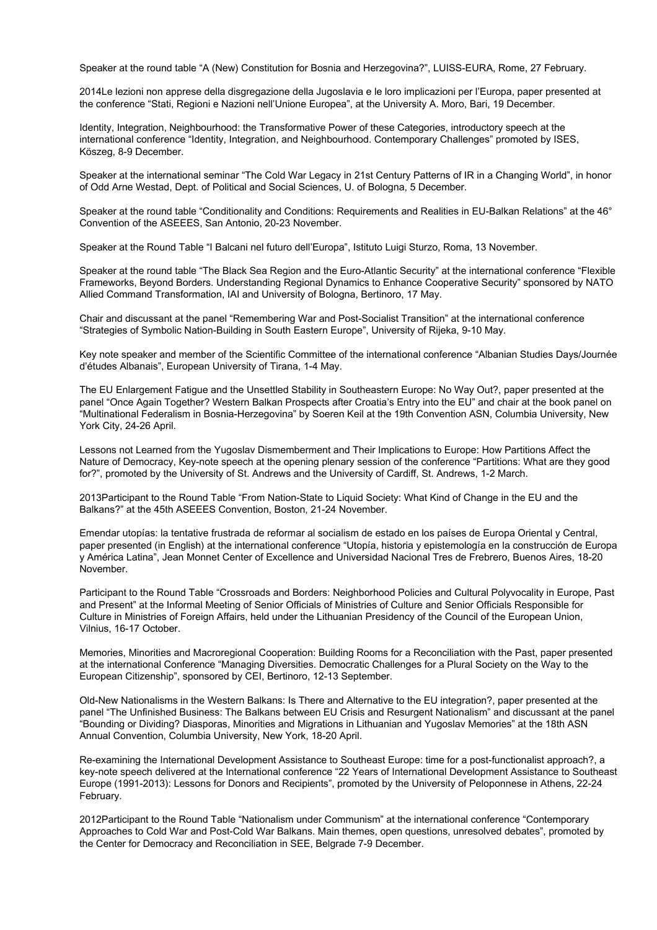Speaker at the round table "A (New) Constitution for Bosnia and Herzegovina?", LUISS-EURA, Rome, 27 February.

2014Le lezioni non apprese della disgregazione della Jugoslavia e le loro implicazioni per l'Europa, paper presented at the conference "Stati, Regioni e Nazioni nell'Unione Europea", at the University A. Moro, Bari, 19 December.

Identity, Integration, Neighbourhood: the Transformative Power of these Categories, introductory speech at the international conference "Identity, Integration, and Neighbourhood. Contemporary Challenges" promoted by ISES, Köszeg, 8-9 December.

Speaker at the international seminar "The Cold War Legacy in 21st Century Patterns of IR in a Changing World", in honor of Odd Arne Westad, Dept. of Political and Social Sciences, U. of Bologna, 5 December.

Speaker at the round table "Conditionality and Conditions: Requirements and Realities in EU-Balkan Relations" at the 46° Convention of the ASEEES, San Antonio, 20-23 November.

Speaker at the Round Table "I Balcani nel futuro dell'Europa", Istituto Luigi Sturzo, Roma, 13 November.

Speaker at the round table "The Black Sea Region and the Euro-Atlantic Security" at the international conference "Flexible Frameworks, Beyond Borders. Understanding Regional Dynamics to Enhance Cooperative Security" sponsored by NATO Allied Command Transformation, IAI and University of Bologna, Bertinoro, 17 May.

Chair and discussant at the panel "Remembering War and Post-Socialist Transition" at the international conference "Strategies of Symbolic Nation-Building in South Eastern Europe", University of Rijeka, 9-10 May.

Key note speaker and member of the Scientific Committee of the international conference "Albanian Studies Days/Journée d'études Albanais", European University of Tirana, 1-4 May.

The EU Enlargement Fatigue and the Unsettled Stability in Southeastern Europe: No Way Out?, paper presented at the panel "Once Again Together? Western Balkan Prospects after Croatia's Entry into the EU" and chair at the book panel on "Multinational Federalism in Bosnia-Herzegovina" by Soeren Keil at the 19th Convention ASN, Columbia University, New York City, 24-26 April.

Lessons not Learned from the Yugoslav Dismemberment and Their Implications to Europe: How Partitions Affect the Nature of Democracy, Key-note speech at the opening plenary session of the conference "Partitions: What are they good for?", promoted by the University of St. Andrews and the University of Cardiff, St. Andrews, 1-2 March.

2013Participant to the Round Table "From Nation-State to Liquid Society: What Kind of Change in the EU and the Balkans?" at the 45th ASEEES Convention, Boston, 21-24 November.

Emendar utopías: la tentative frustrada de reformar al socialism de estado en los países de Europa Oriental y Central, paper presented (in English) at the international conference "Utopía, historia y epistemología en la construcción de Europa y América Latina", Jean Monnet Center of Excellence and Universidad Nacional Tres de Frebrero, Buenos Aires, 18-20 November.

Participant to the Round Table "Crossroads and Borders: Neighborhood Policies and Cultural Polyvocality in Europe, Past and Present" at the Informal Meeting of Senior Officials of Ministries of Culture and Senior Officials Responsible for Culture in Ministries of Foreign Affairs, held under the Lithuanian Presidency of the Council of the European Union, Vilnius, 16-17 October.

Memories, Minorities and Macroregional Cooperation: Building Rooms for a Reconciliation with the Past, paper presented at the international Conference "Managing Diversities. Democratic Challenges for a Plural Society on the Way to the European Citizenship", sponsored by CEI, Bertinoro, 12-13 September.

Old-New Nationalisms in the Western Balkans: Is There and Alternative to the EU integration?, paper presented at the panel "The Unfinished Business: The Balkans between EU Crisis and Resurgent Nationalism" and discussant at the panel "Bounding or Dividing? Diasporas, Minorities and Migrations in Lithuanian and Yugoslav Memories" at the 18th ASN Annual Convention, Columbia University, New York, 18-20 April.

Re-examining the International Development Assistance to Southeast Europe: time for a post-functionalist approach?, a key-note speech delivered at the International conference "22 Years of International Development Assistance to Southeast Europe (1991-2013): Lessons for Donors and Recipients", promoted by the University of Peloponnese in Athens, 22-24 February.

2012Participant to the Round Table "Nationalism under Communism" at the international conference "Contemporary Approaches to Cold War and Post-Cold War Balkans. Main themes, open questions, unresolved debates", promoted by the Center for Democracy and Reconciliation in SEE, Belgrade 7-9 December.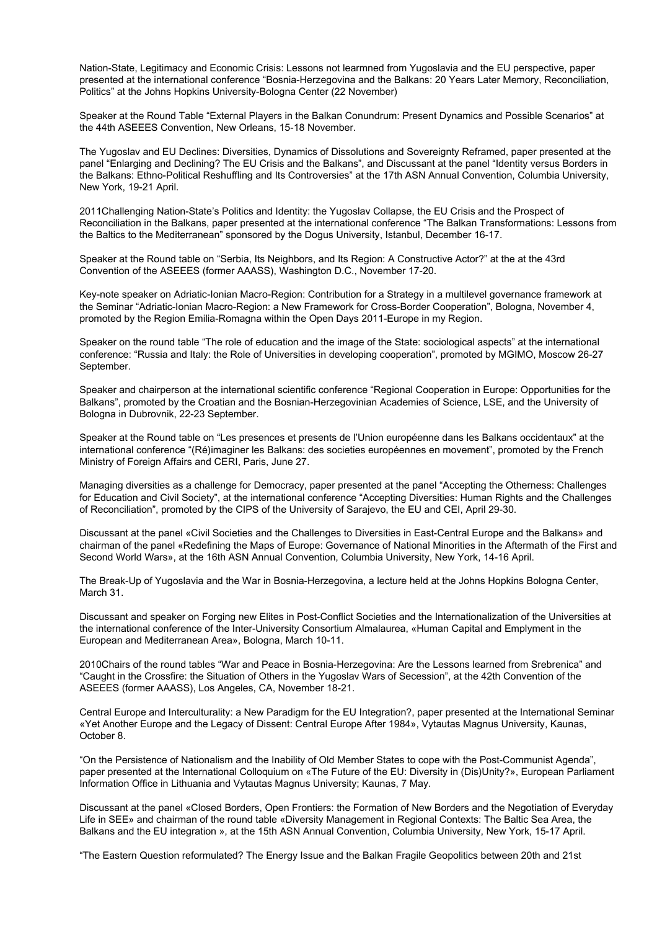Nation-State, Legitimacy and Economic Crisis: Lessons not learmned from Yugoslavia and the EU perspective, paper presented at the international conference "Bosnia-Herzegovina and the Balkans: 20 Years Later Memory, Reconciliation, Politics" at the Johns Hopkins University-Bologna Center (22 November)

Speaker at the Round Table "External Players in the Balkan Conundrum: Present Dynamics and Possible Scenarios" at the 44th ASEEES Convention, New Orleans, 15-18 November.

The Yugoslav and EU Declines: Diversities, Dynamics of Dissolutions and Sovereignty Reframed, paper presented at the panel "Enlarging and Declining? The EU Crisis and the Balkans", and Discussant at the panel "Identity versus Borders in the Balkans: Ethno-Political Reshuffling and Its Controversies" at the 17th ASN Annual Convention, Columbia University, New York, 19-21 April.

2011Challenging Nation-State's Politics and Identity: the Yugoslav Collapse, the EU Crisis and the Prospect of Reconciliation in the Balkans, paper presented at the international conference "The Balkan Transformations: Lessons from the Baltics to the Mediterranean" sponsored by the Dogus University, Istanbul, December 16-17.

Speaker at the Round table on "Serbia, Its Neighbors, and Its Region: A Constructive Actor?" at the at the 43rd Convention of the ASEEES (former AAASS), Washington D.C., November 17-20.

Key-note speaker on Adriatic-Ionian Macro-Region: Contribution for a Strategy in a multilevel governance framework at the Seminar "Adriatic-Ionian Macro-Region: a New Framework for Cross-Border Cooperation", Bologna, November 4, promoted by the Region Emilia-Romagna within the Open Days 2011-Europe in my Region.

Speaker on the round table "The role of education and the image of the State: sociological aspects" at the international conference: "Russia and Italy: the Role of Universities in developing cooperation", promoted by MGIMO, Moscow 26-27 September.

Speaker and chairperson at the international scientific conference "Regional Cooperation in Europe: Opportunities for the Balkans", promoted by the Croatian and the Bosnian-Herzegovinian Academies of Science, LSE, and the University of Bologna in Dubrovnik, 22-23 September.

Speaker at the Round table on "Les presences et presents de l'Union européenne dans les Balkans occidentaux" at the international conference "(Ré)imaginer les Balkans: des societies européennes en movement", promoted by the French Ministry of Foreign Affairs and CERI, Paris, June 27.

Managing diversities as a challenge for Democracy, paper presented at the panel "Accepting the Otherness: Challenges for Education and Civil Society", at the international conference "Accepting Diversities: Human Rights and the Challenges of Reconciliation", promoted by the CIPS of the University of Sarajevo, the EU and CEI, April 29-30.

Discussant at the panel «Civil Societies and the Challenges to Diversities in East-Central Europe and the Balkans» and chairman of the panel «Redefining the Maps of Europe: Governance of National Minorities in the Aftermath of the First and Second World Wars», at the 16th ASN Annual Convention, Columbia University, New York, 14-16 April.

The Break-Up of Yugoslavia and the War in Bosnia-Herzegovina, a lecture held at the Johns Hopkins Bologna Center, March 31.

Discussant and speaker on Forging new Elites in Post-Conflict Societies and the Internationalization of the Universities at the international conference of the Inter-University Consortium Almalaurea, «Human Capital and Emplyment in the European and Mediterranean Area», Bologna, March 10-11.

2010Chairs of the round tables "War and Peace in Bosnia-Herzegovina: Are the Lessons learned from Srebrenica" and "Caught in the Crossfire: the Situation of Others in the Yugoslav Wars of Secession", at the 42th Convention of the ASEEES (former AAASS), Los Angeles, CA, November 18-21.

Central Europe and Interculturality: a New Paradigm for the EU Integration?, paper presented at the International Seminar «Yet Another Europe and the Legacy of Dissent: Central Europe After 1984», Vytautas Magnus University, Kaunas, October 8.

"On the Persistence of Nationalism and the Inability of Old Member States to cope with the Post-Communist Agenda", paper presented at the International Colloquium on «The Future of the EU: Diversity in (Dis)Unity?», European Parliament Information Office in Lithuania and Vytautas Magnus University; Kaunas, 7 May.

Discussant at the panel «Closed Borders, Open Frontiers: the Formation of New Borders and the Negotiation of Everyday Life in SEE» and chairman of the round table «Diversity Management in Regional Contexts: The Baltic Sea Area, the Balkans and the EU integration », at the 15th ASN Annual Convention, Columbia University, New York, 15-17 April.

"The Eastern Question reformulated? The Energy Issue and the Balkan Fragile Geopolitics between 20th and 21st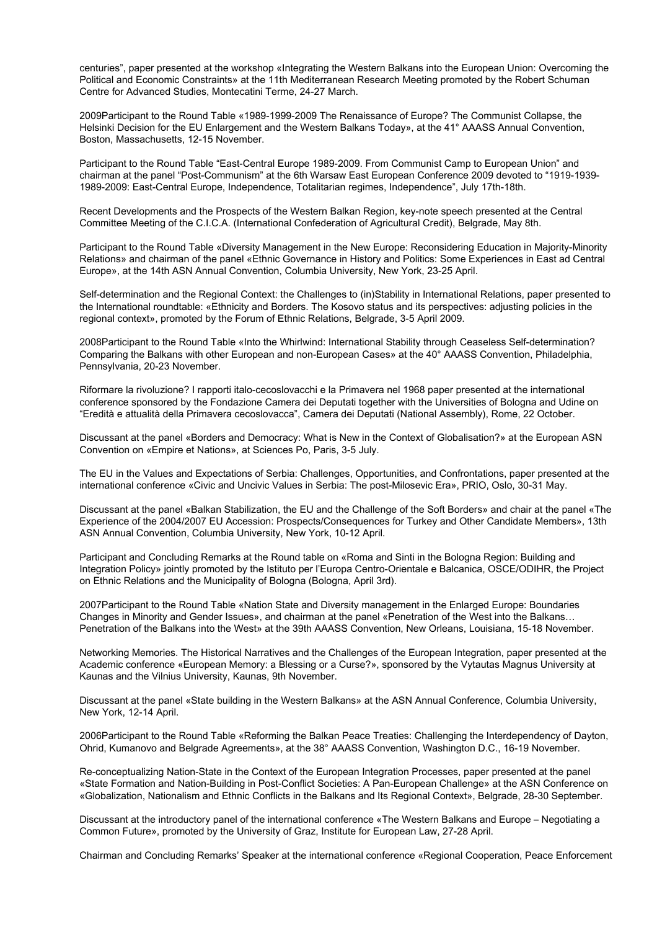centuries", paper presented at the workshop «Integrating the Western Balkans into the European Union: Overcoming the Political and Economic Constraints» at the 11th Mediterranean Research Meeting promoted by the Robert Schuman Centre for Advanced Studies, Montecatini Terme, 24-27 March.

2009Participant to the Round Table «1989-1999-2009 The Renaissance of Europe? The Communist Collapse, the Helsinki Decision for the EU Enlargement and the Western Balkans Today», at the 41° AAASS Annual Convention, Boston, Massachusetts, 12-15 November.

Participant to the Round Table "East-Central Europe 1989-2009. From Communist Camp to European Union" and chairman at the panel "Post-Communism" at the 6th Warsaw East European Conference 2009 devoted to "1919-1939- 1989-2009: East-Central Europe, Independence, Totalitarian regimes, Independence", July 17th-18th.

Recent Developments and the Prospects of the Western Balkan Region, key-note speech presented at the Central Committee Meeting of the C.I.C.A. (International Confederation of Agricultural Credit), Belgrade, May 8th.

Participant to the Round Table «Diversity Management in the New Europe: Reconsidering Education in Majority-Minority Relations» and chairman of the panel «Ethnic Governance in History and Politics: Some Experiences in East ad Central Europe», at the 14th ASN Annual Convention, Columbia University, New York, 23-25 April.

Self-determination and the Regional Context: the Challenges to (in)Stability in International Relations, paper presented to the International roundtable: «Ethnicity and Borders. The Kosovo status and its perspectives: adjusting policies in the regional context», promoted by the Forum of Ethnic Relations, Belgrade, 3-5 April 2009.

2008Participant to the Round Table «Into the Whirlwind: International Stability through Ceaseless Self-determination? Comparing the Balkans with other European and non-European Cases» at the 40° AAASS Convention, Philadelphia, Pennsylvania, 20-23 November.

Riformare la rivoluzione? I rapporti italo-cecoslovacchi e la Primavera nel 1968 paper presented at the international conference sponsored by the Fondazione Camera dei Deputati together with the Universities of Bologna and Udine on "Eredità e attualità della Primavera cecoslovacca", Camera dei Deputati (National Assembly), Rome, 22 October.

Discussant at the panel «Borders and Democracy: What is New in the Context of Globalisation?» at the European ASN Convention on «Empire et Nations», at Sciences Po, Paris, 3-5 July.

The EU in the Values and Expectations of Serbia: Challenges, Opportunities, and Confrontations, paper presented at the international conference «Civic and Uncivic Values in Serbia: The post-Milosevic Era», PRIO, Oslo, 30-31 May.

Discussant at the panel «Balkan Stabilization, the EU and the Challenge of the Soft Borders» and chair at the panel «The Experience of the 2004/2007 EU Accession: Prospects/Consequences for Turkey and Other Candidate Members», 13th ASN Annual Convention, Columbia University, New York, 10-12 April.

Participant and Concluding Remarks at the Round table on «Roma and Sinti in the Bologna Region: Building and Integration Policy» jointly promoted by the Istituto per l'Europa Centro-Orientale e Balcanica, OSCE/ODIHR, the Project on Ethnic Relations and the Municipality of Bologna (Bologna, April 3rd).

2007Participant to the Round Table «Nation State and Diversity management in the Enlarged Europe: Boundaries Changes in Minority and Gender Issues», and chairman at the panel «Penetration of the West into the Balkans… Penetration of the Balkans into the West» at the 39th AAASS Convention, New Orleans, Louisiana, 15-18 November.

Networking Memories. The Historical Narratives and the Challenges of the European Integration, paper presented at the Academic conference «European Memory: a Blessing or a Curse?», sponsored by the Vytautas Magnus University at Kaunas and the Vilnius University, Kaunas, 9th November.

Discussant at the panel «State building in the Western Balkans» at the ASN Annual Conference, Columbia University, New York, 12-14 April.

2006Participant to the Round Table «Reforming the Balkan Peace Treaties: Challenging the Interdependency of Dayton, Ohrid, Kumanovo and Belgrade Agreements», at the 38° AAASS Convention, Washington D.C., 16-19 November.

Re-conceptualizing Nation-State in the Context of the European Integration Processes, paper presented at the panel «State Formation and Nation-Building in Post-Conflict Societies: A Pan-European Challenge» at the ASN Conference on «Globalization, Nationalism and Ethnic Conflicts in the Balkans and Its Regional Context», Belgrade, 28-30 September.

Discussant at the introductory panel of the international conference «The Western Balkans and Europe – Negotiating a Common Future», promoted by the University of Graz, Institute for European Law, 27-28 April.

Chairman and Concluding Remarks' Speaker at the international conference «Regional Cooperation, Peace Enforcement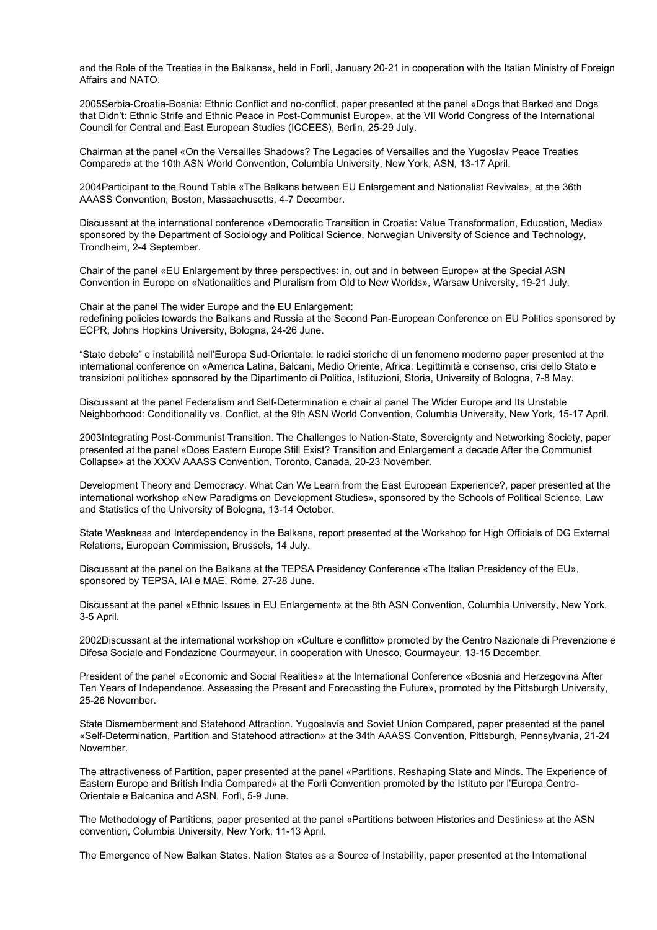and the Role of the Treaties in the Balkans», held in Forlì, January 20-21 in cooperation with the Italian Ministry of Foreign Affairs and NATO.

2005Serbia-Croatia-Bosnia: Ethnic Conflict and no-conflict, paper presented at the panel «Dogs that Barked and Dogs that Didn't: Ethnic Strife and Ethnic Peace in Post-Communist Europe», at the VII World Congress of the International Council for Central and East European Studies (ICCEES), Berlin, 25-29 July.

Chairman at the panel «On the Versailles Shadows? The Legacies of Versailles and the Yugoslav Peace Treaties Compared» at the 10th ASN World Convention, Columbia University, New York, ASN, 13-17 April.

2004Participant to the Round Table «The Balkans between EU Enlargement and Nationalist Revivals», at the 36th AAASS Convention, Boston, Massachusetts, 4-7 December.

Discussant at the international conference «Democratic Transition in Croatia: Value Transformation, Education, Media» sponsored by the Department of Sociology and Political Science, Norwegian University of Science and Technology, Trondheim, 2-4 September.

Chair of the panel «EU Enlargement by three perspectives: in, out and in between Europe» at the Special ASN Convention in Europe on «Nationalities and Pluralism from Old to New Worlds», Warsaw University, 19-21 July.

Chair at the panel The wider Europe and the EU Enlargement: redefining policies towards the Balkans and Russia at the Second Pan-European Conference on EU Politics sponsored by ECPR, Johns Hopkins University, Bologna, 24-26 June.

"Stato debole" e instabilità nell'Europa Sud-Orientale: le radici storiche di un fenomeno moderno paper presented at the international conference on «America Latina, Balcani, Medio Oriente, Africa: Legittimità e consenso, crisi dello Stato e transizioni politiche» sponsored by the Dipartimento di Politica, Istituzioni, Storia, University of Bologna, 7-8 May.

Discussant at the panel Federalism and Self-Determination e chair al panel The Wider Europe and Its Unstable Neighborhood: Conditionality vs. Conflict, at the 9th ASN World Convention, Columbia University, New York, 15-17 April.

2003Integrating Post-Communist Transition. The Challenges to Nation-State, Sovereignty and Networking Society, paper presented at the panel «Does Eastern Europe Still Exist? Transition and Enlargement a decade After the Communist Collapse» at the XXXV AAASS Convention, Toronto, Canada, 20-23 November.

Development Theory and Democracy. What Can We Learn from the East European Experience?, paper presented at the international workshop «New Paradigms on Development Studies», sponsored by the Schools of Political Science, Law and Statistics of the University of Bologna, 13-14 October.

State Weakness and Interdependency in the Balkans, report presented at the Workshop for High Officials of DG External Relations, European Commission, Brussels, 14 July.

Discussant at the panel on the Balkans at the TEPSA Presidency Conference «The Italian Presidency of the EU», sponsored by TEPSA, IAI e MAE, Rome, 27-28 June.

Discussant at the panel «Ethnic Issues in EU Enlargement» at the 8th ASN Convention, Columbia University, New York, 3-5 April.

2002Discussant at the international workshop on «Culture e conflitto» promoted by the Centro Nazionale di Prevenzione e Difesa Sociale and Fondazione Courmayeur, in cooperation with Unesco, Courmayeur, 13-15 December.

President of the panel «Economic and Social Realities» at the International Conference «Bosnia and Herzegovina After Ten Years of Independence. Assessing the Present and Forecasting the Future», promoted by the Pittsburgh University, 25-26 November.

State Dismemberment and Statehood Attraction. Yugoslavia and Soviet Union Compared, paper presented at the panel «Self-Determination, Partition and Statehood attraction» at the 34th AAASS Convention, Pittsburgh, Pennsylvania, 21-24 November.

The attractiveness of Partition, paper presented at the panel «Partitions. Reshaping State and Minds. The Experience of Eastern Europe and British India Compared» at the Forlì Convention promoted by the Istituto per l'Europa Centro-Orientale e Balcanica and ASN, Forlì, 5-9 June.

The Methodology of Partitions, paper presented at the panel «Partitions between Histories and Destinies» at the ASN convention, Columbia University, New York, 11-13 April.

The Emergence of New Balkan States. Nation States as a Source of Instability, paper presented at the International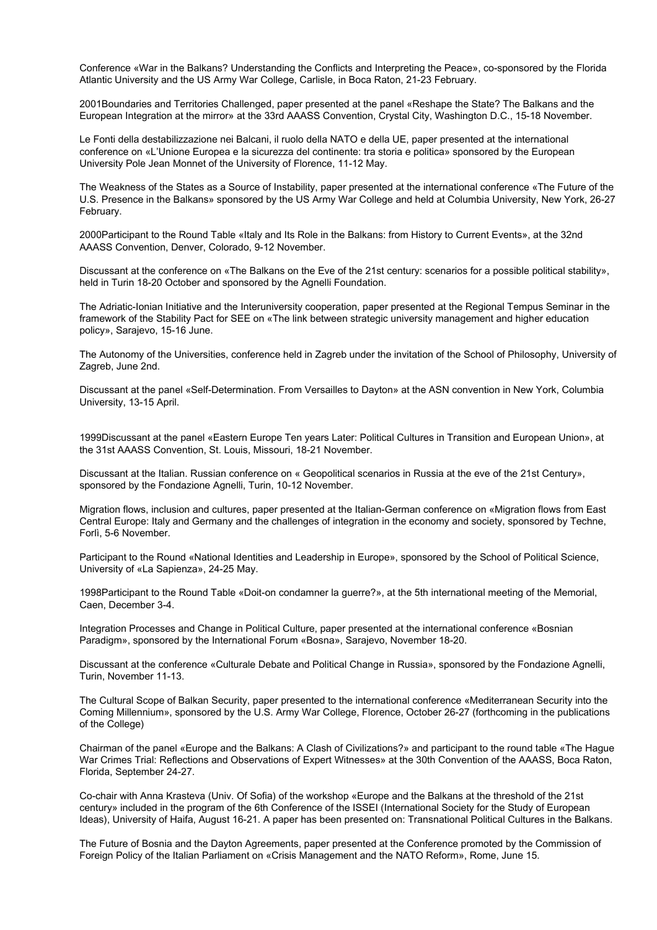Conference «War in the Balkans? Understanding the Conflicts and Interpreting the Peace», co-sponsored by the Florida Atlantic University and the US Army War College, Carlisle, in Boca Raton, 21-23 February.

2001Boundaries and Territories Challenged, paper presented at the panel «Reshape the State? The Balkans and the European Integration at the mirror» at the 33rd AAASS Convention, Crystal City, Washington D.C., 15-18 November.

Le Fonti della destabilizzazione nei Balcani, il ruolo della NATO e della UE, paper presented at the international conference on «L'Unione Europea e la sicurezza del continente: tra storia e politica» sponsored by the European University Pole Jean Monnet of the University of Florence, 11-12 May.

The Weakness of the States as a Source of Instability, paper presented at the international conference «The Future of the U.S. Presence in the Balkans» sponsored by the US Army War College and held at Columbia University, New York, 26-27 February.

2000Participant to the Round Table «Italy and Its Role in the Balkans: from History to Current Events», at the 32nd AAASS Convention, Denver, Colorado, 9-12 November.

Discussant at the conference on «The Balkans on the Eve of the 21st century: scenarios for a possible political stability», held in Turin 18-20 October and sponsored by the Agnelli Foundation.

The Adriatic-Ionian Initiative and the Interuniversity cooperation, paper presented at the Regional Tempus Seminar in the framework of the Stability Pact for SEE on «The link between strategic university management and higher education policy», Sarajevo, 15-16 June.

The Autonomy of the Universities, conference held in Zagreb under the invitation of the School of Philosophy, University of Zagreb, June 2nd.

Discussant at the panel «Self-Determination. From Versailles to Dayton» at the ASN convention in New York, Columbia University, 13-15 April.

1999Discussant at the panel «Eastern Europe Ten years Later: Political Cultures in Transition and European Union», at the 31st AAASS Convention, St. Louis, Missouri, 18-21 November.

Discussant at the Italian. Russian conference on « Geopolitical scenarios in Russia at the eve of the 21st Century», sponsored by the Fondazione Agnelli, Turin, 10-12 November.

Migration flows, inclusion and cultures, paper presented at the Italian-German conference on «Migration flows from East Central Europe: Italy and Germany and the challenges of integration in the economy and society, sponsored by Techne, Forlì, 5-6 November.

Participant to the Round «National Identities and Leadership in Europe», sponsored by the School of Political Science, University of «La Sapienza», 24-25 May.

1998Participant to the Round Table «Doit-on condamner la guerre?», at the 5th international meeting of the Memorial, Caen, December 3-4.

Integration Processes and Change in Political Culture, paper presented at the international conference «Bosnian Paradigm», sponsored by the International Forum «Bosna», Sarajevo, November 18-20.

Discussant at the conference «Culturale Debate and Political Change in Russia», sponsored by the Fondazione Agnelli, Turin, November 11-13.

The Cultural Scope of Balkan Security, paper presented to the international conference «Mediterranean Security into the Coming Millennium», sponsored by the U.S. Army War College, Florence, October 26-27 (forthcoming in the publications of the College)

Chairman of the panel «Europe and the Balkans: A Clash of Civilizations?» and participant to the round table «The Hague War Crimes Trial: Reflections and Observations of Expert Witnesses» at the 30th Convention of the AAASS, Boca Raton, Florida, September 24-27.

Co-chair with Anna Krasteva (Univ. Of Sofia) of the workshop «Europe and the Balkans at the threshold of the 21st century» included in the program of the 6th Conference of the ISSEI (International Society for the Study of European Ideas), University of Haifa, August 16-21. A paper has been presented on: Transnational Political Cultures in the Balkans.

The Future of Bosnia and the Dayton Agreements, paper presented at the Conference promoted by the Commission of Foreign Policy of the Italian Parliament on «Crisis Management and the NATO Reform», Rome, June 15.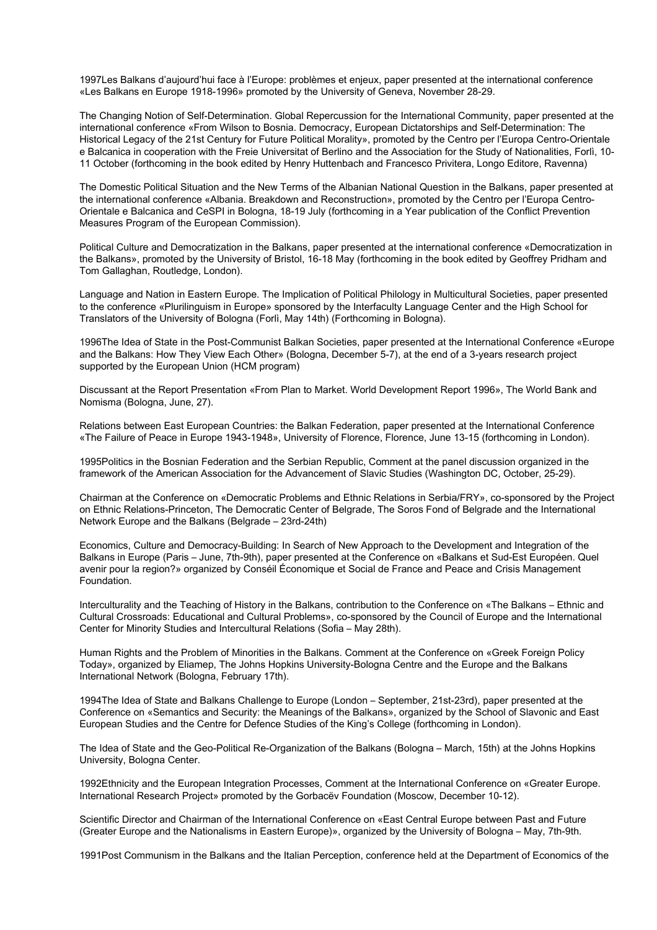1997Les Balkans d'aujourd'hui face à l'Europe: problèmes et enjeux, paper presented at the international conference «Les Balkans en Europe 1918-1996» promoted by the University of Geneva, November 28-29.

The Changing Notion of Self-Determination. Global Repercussion for the International Community, paper presented at the international conference «From Wilson to Bosnia. Democracy, European Dictatorships and Self-Determination: The Historical Legacy of the 21st Century for Future Political Morality», promoted by the Centro per l'Europa Centro-Orientale e Balcanica in cooperation with the Freie Universitat of Berlino and the Association for the Study of Nationalities, Forlì, 10- 11 October (forthcoming in the book edited by Henry Huttenbach and Francesco Privitera, Longo Editore, Ravenna)

The Domestic Political Situation and the New Terms of the Albanian National Question in the Balkans, paper presented at the international conference «Albania. Breakdown and Reconstruction», promoted by the Centro per l'Europa Centro-Orientale e Balcanica and CeSPI in Bologna, 18-19 July (forthcoming in a Year publication of the Conflict Prevention Measures Program of the European Commission).

Political Culture and Democratization in the Balkans, paper presented at the international conference «Democratization in the Balkans», promoted by the University of Bristol, 16-18 May (forthcoming in the book edited by Geoffrey Pridham and Tom Gallaghan, Routledge, London).

Language and Nation in Eastern Europe. The Implication of Political Philology in Multicultural Societies, paper presented to the conference «Plurilinguism in Europe» sponsored by the Interfaculty Language Center and the High School for Translators of the University of Bologna (Forlì, May 14th) (Forthcoming in Bologna).

1996The Idea of State in the Post-Communist Balkan Societies, paper presented at the International Conference «Europe and the Balkans: How They View Each Other» (Bologna, December 5-7), at the end of a 3-years research project supported by the European Union (HCM program)

Discussant at the Report Presentation «From Plan to Market. World Development Report 1996», The World Bank and Nomisma (Bologna, June, 27).

Relations between East European Countries: the Balkan Federation, paper presented at the International Conference «The Failure of Peace in Europe 1943-1948», University of Florence, Florence, June 13-15 (forthcoming in London).

1995Politics in the Bosnian Federation and the Serbian Republic, Comment at the panel discussion organized in the framework of the American Association for the Advancement of Slavic Studies (Washington DC, October, 25-29).

Chairman at the Conference on «Democratic Problems and Ethnic Relations in Serbia/FRY», co-sponsored by the Project on Ethnic Relations-Princeton, The Democratic Center of Belgrade, The Soros Fond of Belgrade and the International Network Europe and the Balkans (Belgrade – 23rd-24th)

Economics, Culture and Democracy-Building: In Search of New Approach to the Development and Integration of the Balkans in Europe (Paris – June, 7th-9th), paper presented at the Conference on «Balkans et Sud-Est Européen. Quel avenir pour la region?» organized by Conséil Économique et Social de France and Peace and Crisis Management Foundation.

Interculturality and the Teaching of History in the Balkans, contribution to the Conference on «The Balkans – Ethnic and Cultural Crossroads: Educational and Cultural Problems», co-sponsored by the Council of Europe and the International Center for Minority Studies and Intercultural Relations (Sofia – May 28th).

Human Rights and the Problem of Minorities in the Balkans. Comment at the Conference on «Greek Foreign Policy Today», organized by Eliamep, The Johns Hopkins University-Bologna Centre and the Europe and the Balkans International Network (Bologna, February 17th).

1994The Idea of State and Balkans Challenge to Europe (London – September, 21st-23rd), paper presented at the Conference on «Semantics and Security: the Meanings of the Balkans», organized by the School of Slavonic and East European Studies and the Centre for Defence Studies of the King's College (forthcoming in London).

The Idea of State and the Geo-Political Re-Organization of the Balkans (Bologna – March, 15th) at the Johns Hopkins University, Bologna Center.

1992Ethnicity and the European Integration Processes, Comment at the International Conference on «Greater Europe. International Research Project» promoted by the Gorbacëv Foundation (Moscow, December 10-12).

Scientific Director and Chairman of the International Conference on «East Central Europe between Past and Future (Greater Europe and the Nationalisms in Eastern Europe)», organized by the University of Bologna – May, 7th-9th.

1991Post Communism in the Balkans and the Italian Perception, conference held at the Department of Economics of the